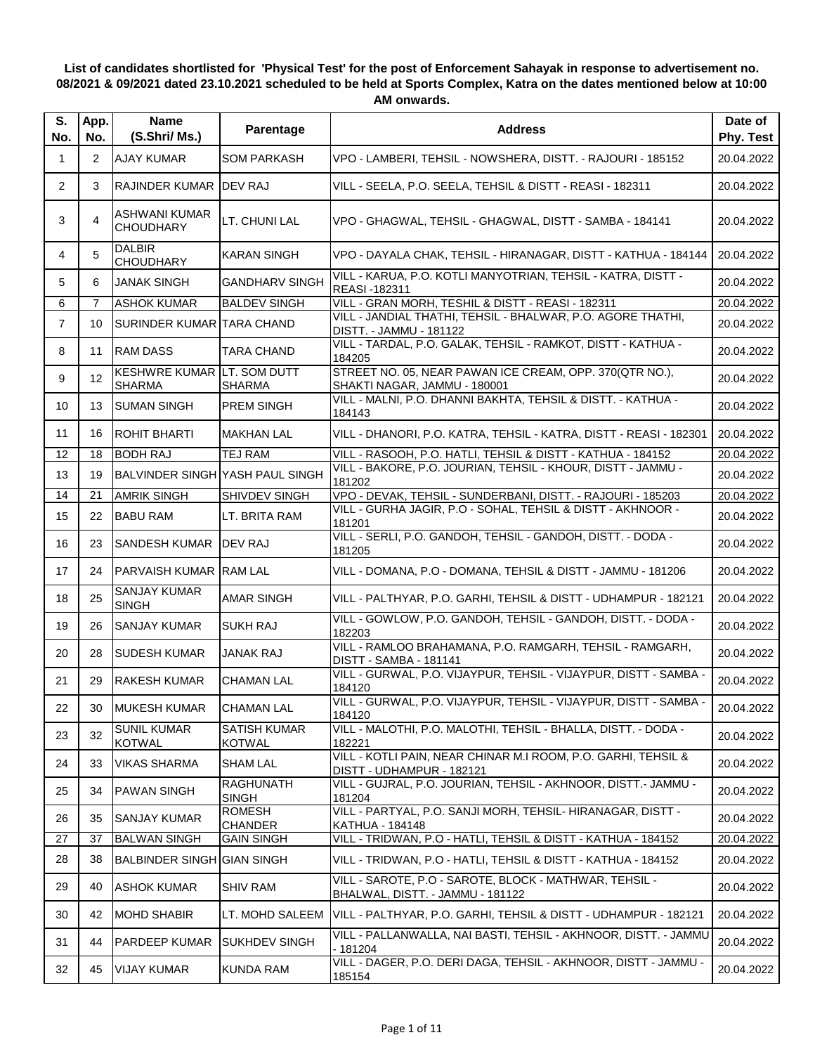## **List of candidates shortlisted for 'Physical Test' for the post of Enforcement Sahayak in response to advertisement no. 08/2021 & 09/2021 dated 23.10.2021 scheduled to be held at Sports Complex, Katra on the dates mentioned below at 10:00 AM onwards.**

| S.<br>No.      | App.<br>No. | <b>Name</b><br>(S.Shri/Ms.)                        | Parentage                            | <b>Address</b>                                                                             | Date of<br>Phy. Test |
|----------------|-------------|----------------------------------------------------|--------------------------------------|--------------------------------------------------------------------------------------------|----------------------|
| $\mathbf 1$    | 2           | <b>AJAY KUMAR</b>                                  | SOM PARKASH                          | VPO - LAMBERI, TEHSIL - NOWSHERA, DISTT. - RAJOURI - 185152                                | 20.04.2022           |
| $\overline{2}$ | 3           | RAJINDER KUMAR DEV RAJ                             |                                      | VILL - SEELA, P.O. SEELA, TEHSIL & DISTT - REASI - 182311                                  | 20.04.2022           |
| 3              | 4           | <b>ASHWANI KUMAR</b><br><b>CHOUDHARY</b>           | LT. CHUNI LAL                        | VPO - GHAGWAL, TEHSIL - GHAGWAL, DISTT - SAMBA - 184141                                    | 20.04.2022           |
| 4              | 5           | <b>DALBIR</b><br><b>CHOUDHARY</b>                  | <b>KARAN SINGH</b>                   | VPO - DAYALA CHAK, TEHSIL - HIRANAGAR, DISTT - KATHUA - 184144                             | 20.04.2022           |
| 5              | 6           | <b>JANAK SINGH</b>                                 | <b>GANDHARV SINGH</b>                | VILL - KARUA, P.O. KOTLI MANYOTRIAN, TEHSIL - KATRA, DISTT -<br><b>REASI-182311</b>        | 20.04.2022           |
| 6              | 7           | <b>ASHOK KUMAR</b>                                 | <b>BALDEV SINGH</b>                  | VILL - GRAN MORH, TESHIL & DISTT - REASI - 182311                                          | 20.04.2022           |
| $\overline{7}$ | 10          | SURINDER KUMAR TARA CHAND                          |                                      | VILL - JANDIAL THATHI, TEHSIL - BHALWAR, P.O. AGORE THATHI,<br>DISTT. - JAMMU - 181122     | 20.04.2022           |
| 8              | 11          | <b>RAM DASS</b>                                    | TARA CHAND                           | VILL - TARDAL, P.O. GALAK, TEHSIL - RAMKOT, DISTT - KATHUA -<br>184205                     | 20.04.2022           |
| 9              | 12          | <b>KESHWRE KUMAR LT. SOM DUTT</b><br><b>SHARMA</b> | <b>SHARMA</b>                        | STREET NO. 05, NEAR PAWAN ICE CREAM, OPP. 370(QTR NO.),<br>SHAKTI NAGAR, JAMMU - 180001    | 20.04.2022           |
| 10             | 13          | <b>SUMAN SINGH</b>                                 | <b>PREM SINGH</b>                    | VILL - MALNI, P.O. DHANNI BAKHTA, TEHSIL & DISTT. - KATHUA -<br>184143                     | 20.04.2022           |
| 11             | 16          | <b>ROHIT BHARTI</b>                                | <b>MAKHAN LAL</b>                    | VILL - DHANORI, P.O. KATRA, TEHSIL - KATRA, DISTT - REASI - 182301                         | 20.04.2022           |
| 12             | 18          | <b>BODH RAJ</b>                                    | <b>TEJ RAM</b>                       | VILL - RASOOH, P.O. HATLI, TEHSIL & DISTT - KATHUA - 184152                                | 20.04.2022           |
| 13             | 19          | BALVINDER SINGH YASH PAUL SINGH                    |                                      | VILL - BAKORE, P.O. JOURIAN, TEHSIL - KHOUR, DISTT - JAMMU -<br>181202                     | 20.04.2022           |
| 14             | 21          | <b>AMRIK SINGH</b>                                 | <b>SHIVDEV SINGH</b>                 | VPO - DEVAK, TEHSIL - SUNDERBANI, DISTT. - RAJOURI - 185203                                | 20.04.2022           |
| 15             | 22          | <b>BABU RAM</b>                                    | LT. BRITA RAM                        | VILL - GURHA JAGIR, P.O - SOHAL, TEHSIL & DISTT - AKHNOOR -<br>181201                      | 20.04.2022           |
| 16             | 23          | <b>SANDESH KUMAR</b>                               | <b>IDEV RAJ</b>                      | VILL - SERLI, P.O. GANDOH, TEHSIL - GANDOH, DISTT. - DODA -<br>181205                      | 20.04.2022           |
| 17             | 24          | <b>PARVAISH KUMAR RAM LAL</b>                      |                                      | VILL - DOMANA, P.O - DOMANA, TEHSIL & DISTT - JAMMU - 181206                               | 20.04.2022           |
| 18             | 25          | <b>SANJAY KUMAR</b><br><b>SINGH</b>                | <b>AMAR SINGH</b>                    | VILL - PALTHYAR, P.O. GARHI, TEHSIL & DISTT - UDHAMPUR - 182121                            | 20.04.2022           |
| 19             | 26          | <b>SANJAY KUMAR</b>                                | <b>SUKH RAJ</b>                      | VILL - GOWLOW, P.O. GANDOH, TEHSIL - GANDOH, DISTT. - DODA -<br>182203                     | 20.04.2022           |
| 20             | 28          | <b>SUDESH KUMAR</b>                                | JANAK RAJ                            | VILL - RAMLOO BRAHAMANA, P.O. RAMGARH, TEHSIL - RAMGARH,<br><b>DISTT - SAMBA - 181141</b>  | 20.04.2022           |
| 21             | 29          | <b>RAKESH KUMAR</b>                                | <b>CHAMAN LAL</b>                    | VILL - GURWAL, P.O. VIJAYPUR, TEHSIL - VIJAYPUR, DISTT - SAMBA -<br>184120                 | 20.04.2022           |
| 22             | 30          | MUKESH KUMAR                                       | <b>CHAMAN LAL</b>                    | VILL - GURWAL, P.O. VIJAYPUR, TEHSIL - VIJAYPUR, DISTT - SAMBA -<br>184120                 | 20.04.2022           |
| 23             | 32          | <b>SUNIL KUMAR</b><br><b>KOTWAL</b>                | <b>SATISH KUMAR</b><br><b>KOTWAL</b> | VILL - MALOTHI, P.O. MALOTHI, TEHSIL - BHALLA, DISTT. - DODA -<br>182221                   | 20.04.2022           |
| 24             | 33          | <b>VIKAS SHARMA</b>                                | <b>SHAM LAL</b>                      | VILL - KOTLI PAIN, NEAR CHINAR M.I ROOM, P.O. GARHI, TEHSIL &<br>DISTT - UDHAMPUR - 182121 | 20.04.2022           |
| 25             | 34          | <b>PAWAN SINGH</b>                                 | <b>RAGHUNATH</b><br><b>SINGH</b>     | VILL - GUJRAL, P.O. JOURIAN, TEHSIL - AKHNOOR, DISTT.- JAMMU -<br>181204                   | 20.04.2022           |
| 26             | 35          | <b>SANJAY KUMAR</b>                                | <b>ROMESH</b><br><b>CHANDER</b>      | VILL - PARTYAL, P.O. SANJI MORH, TEHSIL- HIRANAGAR, DISTT -<br><b>KATHUA - 184148</b>      | 20.04.2022           |
| 27             | 37          | <b>BALWAN SINGH</b>                                | <b>GAIN SINGH</b>                    | VILL - TRIDWAN, P.O - HATLI, TEHSIL & DISTT - KATHUA - 184152                              | 20.04.2022           |
| 28             | 38          | <b>BALBINDER SINGH GIAN SINGH</b>                  |                                      | VILL - TRIDWAN, P.O - HATLI, TEHSIL & DISTT - KATHUA - 184152                              | 20.04.2022           |
| 29             | 40          | <b>ASHOK KUMAR</b>                                 | <b>SHIV RAM</b>                      | VILL - SAROTE, P.O - SAROTE, BLOCK - MATHWAR, TEHSIL -<br>BHALWAL, DISTT. - JAMMU - 181122 | 20.04.2022           |
| 30             | 42          | <b>MOHD SHABIR</b>                                 | LT. MOHD SALEEM                      | VILL - PALTHYAR, P.O. GARHI, TEHSIL & DISTT - UDHAMPUR - 182121                            | 20.04.2022           |
| 31             | 44          | PARDEEP KUMAR                                      | <b>SUKHDEV SINGH</b>                 | VILL - PALLANWALLA, NAI BASTI, TEHSIL - AKHNOOR, DISTT. - JAMMU<br>$-181204$               | 20.04.2022           |
| 32             | 45          | <b>VIJAY KUMAR</b>                                 | <b>KUNDA RAM</b>                     | VILL - DAGER, P.O. DERI DAGA, TEHSIL - AKHNOOR, DISTT - JAMMU -<br>185154                  | 20.04.2022           |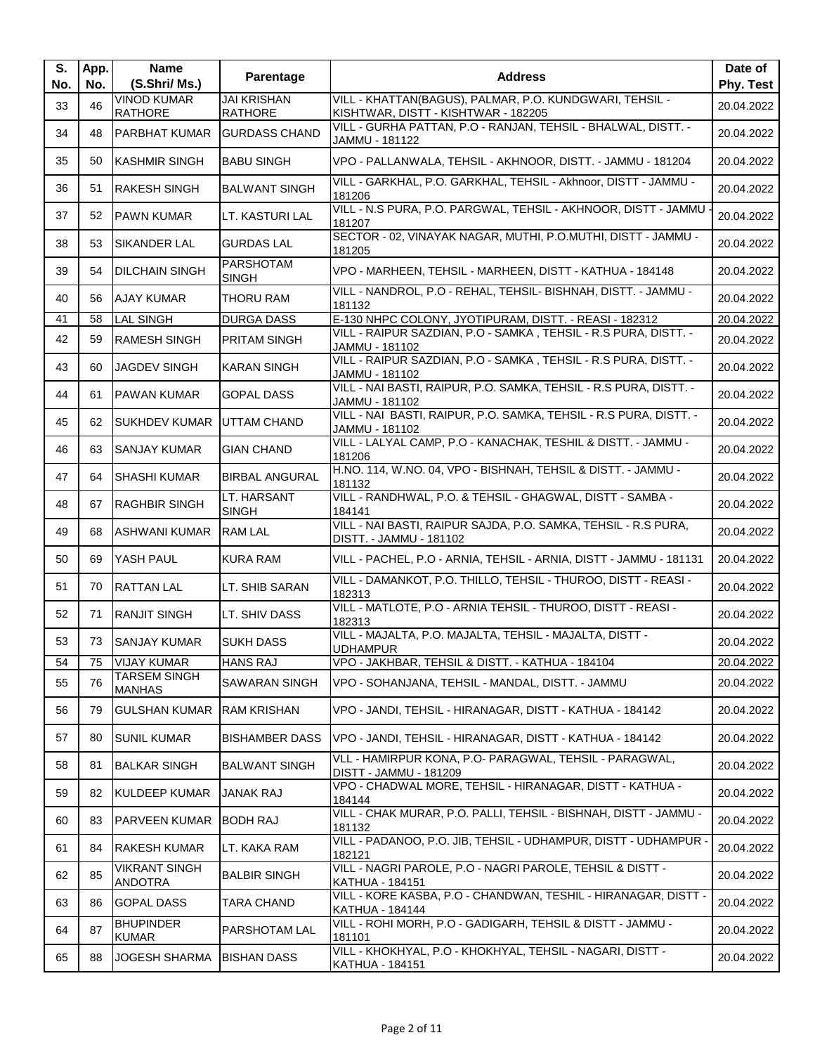| S.<br>No. | App.<br>No. | <b>Name</b><br>(S.Shri/ Ms.)           | Parentage                            | <b>Address</b>                                                                                 | Date of<br>Phy. Test |
|-----------|-------------|----------------------------------------|--------------------------------------|------------------------------------------------------------------------------------------------|----------------------|
| 33        | 46          | <b>VINOD KUMAR</b><br><b>RATHORE</b>   | <b>JAI KRISHAN</b><br><b>RATHORE</b> | VILL - KHATTAN(BAGUS), PALMAR, P.O. KUNDGWARI, TEHSIL -<br>KISHTWAR, DISTT - KISHTWAR - 182205 | 20.04.2022           |
| 34        | 48          | <b>PARBHAT KUMAR</b>                   | <b>GURDASS CHAND</b>                 | VILL - GURHA PATTAN, P.O - RANJAN, TEHSIL - BHALWAL, DISTT. -<br>JAMMU - 181122                | 20.04.2022           |
| 35        | 50          | <b>KASHMIR SINGH</b>                   | <b>BABU SINGH</b>                    | VPO - PALLANWALA, TEHSIL - AKHNOOR, DISTT. - JAMMU - 181204                                    | 20.04.2022           |
| 36        | 51          | <b>RAKESH SINGH</b>                    | <b>BALWANT SINGH</b>                 | VILL - GARKHAL, P.O. GARKHAL, TEHSIL - Akhnoor, DISTT - JAMMU -<br>181206                      | 20.04.2022           |
| 37        | 52          | <b>PAWN KUMAR</b>                      | LT. KASTURI LAL                      | VILL - N.S PURA, P.O. PARGWAL, TEHSIL - AKHNOOR, DISTT - JAMMU<br>181207                       | 20.04.2022           |
| 38        | 53          | <b>SIKANDER LAL</b>                    | <b>GURDAS LAL</b>                    | SECTOR - 02, VINAYAK NAGAR, MUTHI, P.O.MUTHI, DISTT - JAMMU -<br>181205                        | 20.04.2022           |
| 39        | 54          | <b>DILCHAIN SINGH</b>                  | <b>PARSHOTAM</b><br><b>SINGH</b>     | VPO - MARHEEN, TEHSIL - MARHEEN, DISTT - KATHUA - 184148                                       | 20.04.2022           |
| 40        | 56          | <b>AJAY KUMAR</b>                      | <b>THORU RAM</b>                     | VILL - NANDROL, P.O - REHAL, TEHSIL- BISHNAH, DISTT. - JAMMU -<br>181132                       | 20.04.2022           |
| 41        | 58          | <b>LAL SINGH</b>                       | <b>DURGA DASS</b>                    | E-130 NHPC COLONY, JYOTIPURAM, DISTT. - REASI - 182312                                         | 20.04.2022           |
| 42        | 59          | <b>RAMESH SINGH</b>                    | <b>PRITAM SINGH</b>                  | VILL - RAIPUR SAZDIAN, P.O - SAMKA, TEHSIL - R.S PURA, DISTT. -<br>JAMMU - 181102              | 20.04.2022           |
| 43        | 60          | <b>JAGDEV SINGH</b>                    | <b>KARAN SINGH</b>                   | VILL - RAIPUR SAZDIAN, P.O - SAMKA, TEHSIL - R.S PURA, DISTT. -<br>JAMMU - 181102              | 20.04.2022           |
| 44        | 61          | <b>PAWAN KUMAR</b>                     | <b>GOPAL DASS</b>                    | VILL - NAI BASTI, RAIPUR, P.O. SAMKA, TEHSIL - R.S PURA, DISTT. -<br>JAMMU - 181102            | 20.04.2022           |
| 45        | 62          | <b>SUKHDEV KUMAR</b>                   | UTTAM CHAND                          | VILL - NAI BASTI, RAIPUR, P.O. SAMKA, TEHSIL - R.S PURA, DISTT. -<br>JAMMU - 181102            | 20.04.2022           |
| 46        | 63          | <b>SANJAY KUMAR</b>                    | <b>GIAN CHAND</b>                    | VILL - LALYAL CAMP, P.O - KANACHAK, TESHIL & DISTT. - JAMMU -<br>181206                        | 20.04.2022           |
| 47        | 64          | <b>SHASHI KUMAR</b>                    | <b>BIRBAL ANGURAL</b>                | H.NO. 114, W.NO. 04, VPO - BISHNAH, TEHSIL & DISTT. - JAMMU -<br>181132                        | 20.04.2022           |
| 48        | 67          | <b>RAGHBIR SINGH</b>                   | LT. HARSANT<br><b>SINGH</b>          | VILL - RANDHWAL, P.O. & TEHSIL - GHAGWAL, DISTT - SAMBA -<br>184141                            | 20.04.2022           |
| 49        | 68          | <b>ASHWANI KUMAR</b>                   | <b>RAM LAL</b>                       | VILL - NAI BASTI, RAIPUR SAJDA, P.O. SAMKA, TEHSIL - R.S PURA,<br>DISTT. - JAMMU - 181102      | 20.04.2022           |
| 50        | 69          | YASH PAUL                              | <b>KURA RAM</b>                      | VILL - PACHEL, P.O - ARNIA, TEHSIL - ARNIA, DISTT - JAMMU - 181131                             | 20.04.2022           |
| 51        | 70          | <b>RATTAN LAL</b>                      | LT. SHIB SARAN                       | VILL - DAMANKOT, P.O. THILLO, TEHSIL - THUROO, DISTT - REASI -<br>182313                       | 20.04.2022           |
| 52        | 71          | <b>RANJIT SINGH</b>                    | LT. SHIV DASS                        | VILL - MATLOTE, P.O - ARNIA TEHSIL - THUROO, DISTT - REASI -<br>182313                         | 20.04.2022           |
| 53        | 73          | <b>ISANJAY KUMAR</b>                   | SUKH DASS                            | VILL - MAJALTA, P.O. MAJALTA, TEHSIL - MAJALTA, DISTT -<br><b>UDHAMPUR</b>                     | 20.04.2022           |
| 54        | 75          | <b>VIJAY KUMAR</b>                     | <b>HANS RAJ</b>                      | VPO - JAKHBAR, TEHSIL & DISTT. - KATHUA - 184104                                               | 20.04.2022           |
| 55        | 76          | <b>TARSEM SINGH</b><br><b>MANHAS</b>   | <b>SAWARAN SINGH</b>                 | VPO - SOHANJANA, TEHSIL - MANDAL, DISTT. - JAMMU                                               | 20.04.2022           |
| 56        | 79          | <b>GULSHAN KUMAR</b>                   | <b>RAM KRISHAN</b>                   | VPO - JANDI, TEHSIL - HIRANAGAR, DISTT - KATHUA - 184142                                       | 20.04.2022           |
| 57        | 80          | <b>SUNIL KUMAR</b>                     | <b>BISHAMBER DASS</b>                | VPO - JANDI, TEHSIL - HIRANAGAR, DISTT - KATHUA - 184142                                       | 20.04.2022           |
| 58        | 81          | <b>BALKAR SINGH</b>                    | <b>BALWANT SINGH</b>                 | VLL - HAMIRPUR KONA, P.O- PARAGWAL, TEHSIL - PARAGWAL,<br>DISTT - JAMMU - 181209               | 20.04.2022           |
| 59        | 82          | <b>KULDEEP KUMAR</b>                   | <b>JANAK RAJ</b>                     | VPO - CHADWAL MORE, TEHSIL - HIRANAGAR, DISTT - KATHUA -<br>184144                             | 20.04.2022           |
| 60        | 83          | <b>PARVEEN KUMAR</b>                   | <b>BODH RAJ</b>                      | VILL - CHAK MURAR, P.O. PALLI, TEHSIL - BISHNAH, DISTT - JAMMU -<br>181132                     | 20.04.2022           |
| 61        | 84          | <b>RAKESH KUMAR</b>                    | LT. KAKA RAM                         | VILL - PADANOO, P.O. JIB, TEHSIL - UDHAMPUR, DISTT - UDHAMPUR -<br>182121                      | 20.04.2022           |
| 62        | 85          | <b>VIKRANT SINGH</b><br><b>ANDOTRA</b> | <b>BALBIR SINGH</b>                  | VILL - NAGRI PAROLE, P.O - NAGRI PAROLE, TEHSIL & DISTT -<br><b>KATHUA - 184151</b>            | 20.04.2022           |
| 63        | 86          | <b>GOPAL DASS</b>                      | <b>TARA CHAND</b>                    | VILL - KORE KASBA, P.O - CHANDWAN, TESHIL - HIRANAGAR, DISTT -<br><b>KATHUA - 184144</b>       | 20.04.2022           |
| 64        | 87          | <b>BHUPINDER</b><br><b>KUMAR</b>       | PARSHOTAM LAL                        | VILL - ROHI MORH, P.O - GADIGARH, TEHSIL & DISTT - JAMMU -<br>181101                           | 20.04.2022           |
| 65        | 88          | <b>JOGESH SHARMA</b>                   | <b>BISHAN DASS</b>                   | VILL - KHOKHYAL, P.O - KHOKHYAL, TEHSIL - NAGARI, DISTT -<br><b>KATHUA - 184151</b>            | 20.04.2022           |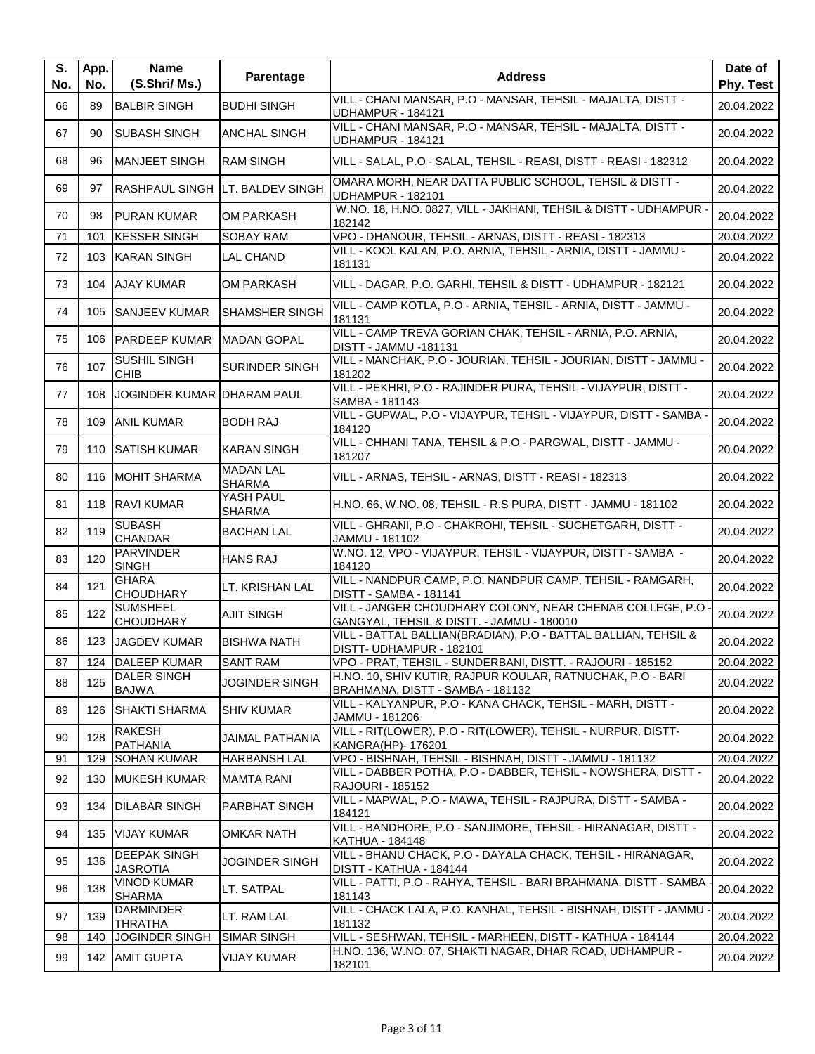| S.<br>No. | App.<br>No. | <b>Name</b><br>(S.Shri/ Ms.)           | Parentage                              | <b>Address</b>                                                                                         | Date of<br>Phy. Test |
|-----------|-------------|----------------------------------------|----------------------------------------|--------------------------------------------------------------------------------------------------------|----------------------|
| 66        | 89          | <b>BALBIR SINGH</b>                    | <b>BUDHI SINGH</b>                     | VILL - CHANI MANSAR, P.O - MANSAR, TEHSIL - MAJALTA, DISTT -<br>UDHAMPUR - 184121                      | 20.04.2022           |
| 67        | 90          | <b>ISUBASH SINGH</b>                   | <b>ANCHAL SINGH</b>                    | VILL - CHANI MANSAR, P.O - MANSAR, TEHSIL - MAJALTA, DISTT -<br><b>UDHAMPUR - 184121</b>               | 20.04.2022           |
| 68        | 96          | <b>MANJEET SINGH</b>                   | <b>RAM SINGH</b>                       | VILL - SALAL, P.O - SALAL, TEHSIL - REASI, DISTT - REASI - 182312                                      | 20.04.2022           |
| 69        | 97          |                                        | <b>RASHPAUL SINGH LT, BALDEV SINGH</b> | OMARA MORH, NEAR DATTA PUBLIC SCHOOL, TEHSIL & DISTT -<br>UDHAMPUR - 182101                            | 20.04.2022           |
| 70        | 98          | <b>PURAN KUMAR</b>                     | <b>OM PARKASH</b>                      | W.NO. 18, H.NO. 0827, VILL - JAKHANI, TEHSIL & DISTT - UDHAMPUR -<br>182142                            | 20.04.2022           |
| 71        | 101         | <b>KESSER SINGH</b>                    | <b>SOBAY RAM</b>                       | VPO - DHANOUR, TEHSIL - ARNAS, DISTT - REASI - 182313                                                  | 20.04.2022           |
| 72        |             | 103 KARAN SINGH                        | LAL CHAND                              | VILL - KOOL KALAN, P.O. ARNIA, TEHSIL - ARNIA, DISTT - JAMMU -<br>181131                               | 20.04.2022           |
| 73        |             | 104 AJAY KUMAR                         | <b>OM PARKASH</b>                      | VILL - DAGAR, P.O. GARHI, TEHSIL & DISTT - UDHAMPUR - 182121                                           | 20.04.2022           |
| 74        |             | 105 SANJEEV KUMAR                      | <b>SHAMSHER SINGH</b>                  | VILL - CAMP KOTLA, P.O - ARNIA, TEHSIL - ARNIA, DISTT - JAMMU -<br>181131                              | 20.04.2022           |
| 75        |             | 106 PARDEEP KUMAR                      | <b>MADAN GOPAL</b>                     | VILL - CAMP TREVA GORIAN CHAK, TEHSIL - ARNIA, P.O. ARNIA,<br>DISTT - JAMMU -181131                    | 20.04.2022           |
| 76        | 107         | <b>SUSHIL SINGH</b><br><b>CHIB</b>     | <b>SURINDER SINGH</b>                  | VILL - MANCHAK, P.O - JOURIAN, TEHSIL - JOURIAN, DISTT - JAMMU -<br>181202                             | 20.04.2022           |
| 77        | 108         | JOGINDER KUMAR DHARAM PAUL             |                                        | VILL - PEKHRI, P.O - RAJINDER PURA, TEHSIL - VIJAYPUR, DISTT -<br>SAMBA - 181143                       | 20.04.2022           |
| 78        | 109         | <b>ANIL KUMAR</b>                      | <b>BODH RAJ</b>                        | VILL - GUPWAL, P.O - VIJAYPUR, TEHSIL - VIJAYPUR, DISTT - SAMBA<br>184120                              | 20.04.2022           |
| 79        | 110         | <b>SATISH KUMAR</b>                    | <b>KARAN SINGH</b>                     | VILL - CHHANI TANA, TEHSIL & P.O - PARGWAL, DISTT - JAMMU -<br>181207                                  | 20.04.2022           |
| 80        |             | 116 MOHIT SHARMA                       | <b>MADAN LAL</b><br><b>SHARMA</b>      | VILL - ARNAS, TEHSIL - ARNAS, DISTT - REASI - 182313                                                   | 20.04.2022           |
| 81        |             | 118 RAVI KUMAR                         | YASH PAUL<br><b>SHARMA</b>             | H.NO. 66, W.NO. 08, TEHSIL - R.S PURA, DISTT - JAMMU - 181102                                          | 20.04.2022           |
| 82        | 119         | <b>SUBASH</b><br><b>CHANDAR</b>        | <b>BACHAN LAL</b>                      | VILL - GHRANI, P.O - CHAKROHI, TEHSIL - SUCHETGARH, DISTT -<br>JAMMU - 181102                          | 20.04.2022           |
| 83        | 120         | <b>PARVINDER</b><br><b>SINGH</b>       | <b>HANS RAJ</b>                        | W.NO. 12, VPO - VIJAYPUR, TEHSIL - VIJAYPUR, DISTT - SAMBA -<br>184120                                 | 20.04.2022           |
| 84        | 121         | <b>GHARA</b><br><b>CHOUDHARY</b>       | LT. KRISHAN LAL                        | VILL - NANDPUR CAMP, P.O. NANDPUR CAMP, TEHSIL - RAMGARH,<br><b>DISTT - SAMBA - 181141</b>             | 20.04.2022           |
| 85        | 122         | <b>SUMSHEEL</b><br><b>CHOUDHARY</b>    | <b>AJIT SINGH</b>                      | VILL - JANGER CHOUDHARY COLONY, NEAR CHENAB COLLEGE, P.O.<br>GANGYAL, TEHSIL & DISTT. - JAMMU - 180010 | 20.04.2022           |
| 86        |             | 123 JAGDEV KUMAR                       | <b>BISHWA NATH</b>                     | VILL - BATTAL BALLIAN(BRADIAN), P.O - BATTAL BALLIAN, TEHSIL &<br>DISTT- UDHAMPUR - 182101             | 20.04.2022           |
| 87        |             | 124 DALEEP KUMAR                       | <b>SANT RAM</b>                        | VPO - PRAT, TEHSIL - SUNDERBANI, DISTT. - RAJOURI - 185152                                             | 20.04.2022           |
| 88        | 125         | <b>DALER SINGH</b><br><b>BAJWA</b>     | <b>JOGINDER SINGH</b>                  | H.NO. 10, SHIV KUTIR, RAJPUR KOULAR, RATNUCHAK, P.O - BARI<br>BRAHMANA, DISTT - SAMBA - 181132         | 20.04.2022           |
| 89        |             | 126 SHAKTI SHARMA                      | <b>SHIV KUMAR</b>                      | VILL - KALYANPUR, P.O - KANA CHACK, TEHSIL - MARH, DISTT -<br>JAMMU - 181206                           | 20.04.2022           |
| 90        | 128         | <b>RAKESH</b><br><b>PATHANIA</b>       | JAIMAL PATHANIA                        | VILL - RIT(LOWER), P.O - RIT(LOWER), TEHSIL - NURPUR, DISTT-<br>KANGRA(HP)- 176201                     | 20.04.2022           |
| 91        | 129         | <b>SOHAN KUMAR</b>                     | <b>HARBANSH LAL</b>                    | VPO - BISHNAH, TEHSIL - BISHNAH, DISTT - JAMMU - 181132                                                | 20.04.2022           |
| 92        |             | 130 MUKESH KUMAR                       | <b>MAMTA RANI</b>                      | VILL - DABBER POTHA, P.O - DABBER, TEHSIL - NOWSHERA, DISTT -<br><b>RAJOURI - 185152</b>               | 20.04.2022           |
| 93        |             | 134 DILABAR SINGH                      | <b>PARBHAT SINGH</b>                   | VILL - MAPWAL, P.O - MAWA, TEHSIL - RAJPURA, DISTT - SAMBA -<br>184121                                 | 20.04.2022           |
| 94        |             | 135 VIJAY KUMAR                        | OMKAR NATH                             | VILL - BANDHORE, P.O - SANJIMORE, TEHSIL - HIRANAGAR, DISTT -<br>KATHUA - 184148                       | 20.04.2022           |
| 95        | 136         | <b>DEEPAK SINGH</b><br><b>JASROTIA</b> | JOGINDER SINGH                         | VILL - BHANU CHACK, P.O - DAYALA CHACK, TEHSIL - HIRANAGAR,<br>DISTT - KATHUA - 184144                 | 20.04.2022           |
| 96        | 138         | <b>VINOD KUMAR</b><br><b>SHARMA</b>    | LT. SATPAL                             | VILL - PATTI, P.O - RAHYA, TEHSIL - BARI BRAHMANA, DISTT - SAMBA<br>181143                             | 20.04.2022           |
| 97        | 139         | <b>DARMINDER</b><br><b>THRATHA</b>     | LT. RAM LAL                            | VILL - CHACK LALA, P.O. KANHAL, TEHSIL - BISHNAH, DISTT - JAMMU<br>181132                              | 20.04.2022           |
| 98        | 140         | <b>JOGINDER SINGH</b>                  | <b>SIMAR SINGH</b>                     | VILL - SESHWAN, TEHSIL - MARHEEN, DISTT - KATHUA - 184144                                              | 20.04.2022           |
| 99        |             | 142 AMIT GUPTA                         | <b>VIJAY KUMAR</b>                     | H.NO. 136, W.NO. 07, SHAKTI NAGAR, DHAR ROAD, UDHAMPUR -<br>182101                                     | 20.04.2022           |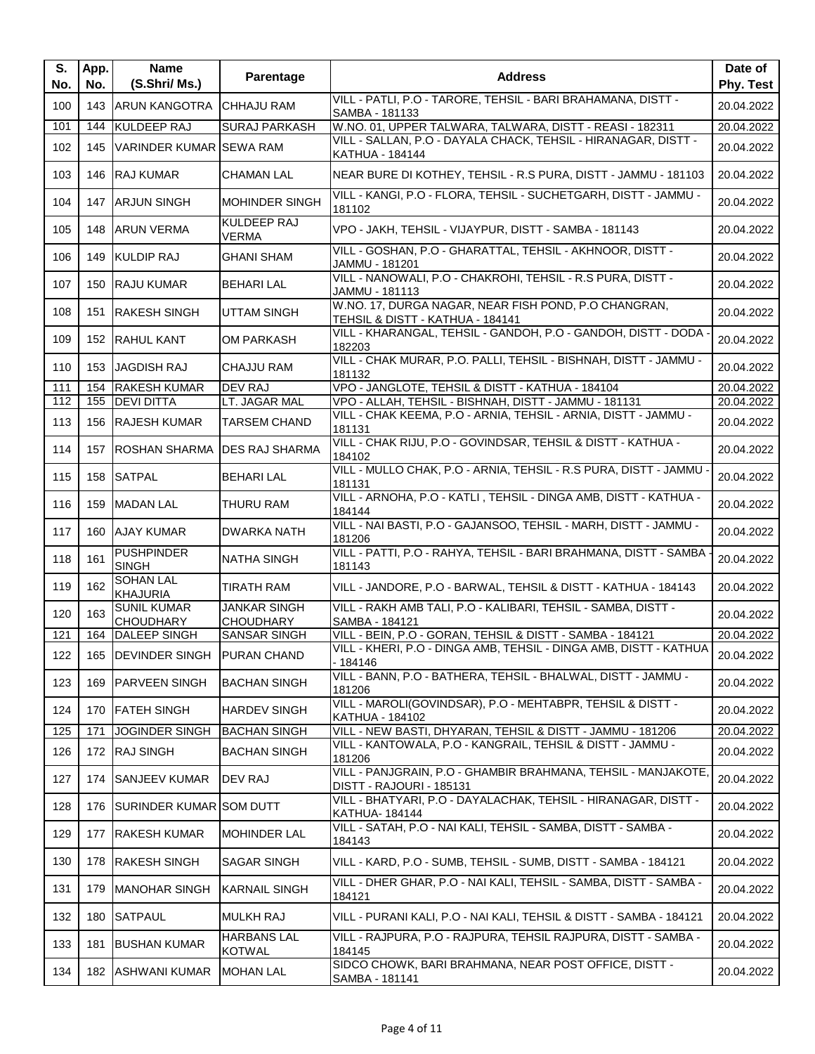| S.<br>No. | App.<br>No. | <b>Name</b><br>(S.Shri/ Ms.)           | Parentage                               | <b>Address</b>                                                                            | Date of<br>Phy. Test |
|-----------|-------------|----------------------------------------|-----------------------------------------|-------------------------------------------------------------------------------------------|----------------------|
| 100       |             | 143 ARUN KANGOTRA                      | <b>CHHAJU RAM</b>                       | VILL - PATLI, P.O - TARORE, TEHSIL - BARI BRAHAMANA, DISTT -<br>SAMBA - 181133            | 20.04.2022           |
| 101       |             | 144 KULDEEP RAJ                        | <b>SURAJ PARKASH</b>                    | W.NO. 01, UPPER TALWARA, TALWARA, DISTT - REASI - 182311                                  | 20.04.2022           |
| 102       | 145         | VARINDER KUMAR SEWA RAM                |                                         | VILL - SALLAN, P.O - DAYALA CHACK, TEHSIL - HIRANAGAR, DISTT -<br>KATHUA - 184144         | 20.04.2022           |
| 103       |             | 146 RAJ KUMAR                          | <b>CHAMAN LAL</b>                       | NEAR BURE DI KOTHEY, TEHSIL - R.S PURA, DISTT - JAMMU - 181103                            | 20.04.2022           |
| 104       |             | 147 ARJUN SINGH                        | MOHINDER SINGH                          | VILL - KANGI, P.O - FLORA, TEHSIL - SUCHETGARH, DISTT - JAMMU -<br>181102                 | 20.04.2022           |
| 105       |             | 148 ARUN VERMA                         | <b>KULDEEP RAJ</b><br><b>VERMA</b>      | VPO - JAKH, TEHSIL - VIJAYPUR, DISTT - SAMBA - 181143                                     | 20.04.2022           |
| 106       |             | 149 KULDIP RAJ                         | <b>GHANI SHAM</b>                       | VILL - GOSHAN, P.O - GHARATTAL, TEHSIL - AKHNOOR, DISTT -<br>JAMMU - 181201               | 20.04.2022           |
| 107       |             | 150 RAJU KUMAR                         | <b>BEHARI LAL</b>                       | VILL - NANOWALI, P.O - CHAKROHI, TEHSIL - R.S PURA, DISTT -<br>JAMMU - 181113             | 20.04.2022           |
| 108       | 151         | <b>RAKESH SINGH</b>                    | <b>UTTAM SINGH</b>                      | W.NO. 17, DURGA NAGAR, NEAR FISH POND, P.O CHANGRAN,<br>TEHSIL & DISTT - KATHUA - 184141  | 20.04.2022           |
| 109       |             | 152 RAHUL KANT                         | <b>OM PARKASH</b>                       | VILL - KHARANGAL, TEHSIL - GANDOH, P.O - GANDOH, DISTT - DODA -<br>182203                 | 20.04.2022           |
| 110       |             | 153 JAGDISH RAJ                        | <b>CHAJJU RAM</b>                       | VILL - CHAK MURAR, P.O. PALLI, TEHSIL - BISHNAH, DISTT - JAMMU -<br>181132                | 20.04.2022           |
| 111       | 154         | <b>RAKESH KUMAR</b>                    | <b>DEV RAJ</b>                          | VPO - JANGLOTE, TEHSIL & DISTT - KATHUA - 184104                                          | 20.04.2022           |
| 112       | 155         | <b>DEVI DITTA</b>                      | LT. JAGAR MAL                           | VPO - ALLAH, TEHSIL - BISHNAH, DISTT - JAMMU - 181131                                     | 20.04.2022           |
| 113       |             | 156 RAJESH KUMAR                       | <b>TARSEM CHAND</b>                     | VILL - CHAK KEEMA, P.O - ARNIA, TEHSIL - ARNIA, DISTT - JAMMU -<br>181131                 | 20.04.2022           |
| 114       |             | 157 ROSHAN SHARMA DES RAJ SHARMA       |                                         | VILL - CHAK RIJU, P.O - GOVINDSAR, TEHSIL & DISTT - KATHUA -<br>184102                    | 20.04.2022           |
| 115       |             | 158 SATPAL                             | <b>BEHARI LAL</b>                       | VILL - MULLO CHAK, P.O - ARNIA, TEHSIL - R.S PURA, DISTT - JAMMU<br>181131                | 20.04.2022           |
| 116       |             | 159 MADAN LAL                          | THURU RAM                               | VILL - ARNOHA, P.O - KATLI, TEHSIL - DINGA AMB, DISTT - KATHUA -<br>184144                | 20.04.2022           |
| 117       |             | 160 AJAY KUMAR                         | <b>DWARKA NATH</b>                      | VILL - NAI BASTI, P.O - GAJANSOO, TEHSIL - MARH, DISTT - JAMMU -<br>181206                | 20.04.2022           |
| 118       | 161         | <b>PUSHPINDER</b><br><b>SINGH</b>      | <b>NATHA SINGH</b>                      | VILL - PATTI, P.O - RAHYA, TEHSIL - BARI BRAHMANA, DISTT - SAMBA<br>181143                | 20.04.2022           |
| 119       | 162         | <b>SOHAN LAL</b><br><b>KHAJURIA</b>    | <b>TIRATH RAM</b>                       | VILL - JANDORE, P.O - BARWAL, TEHSIL & DISTT - KATHUA - 184143                            | 20.04.2022           |
| 120       | 163         | <b>SUNIL KUMAR</b><br><b>CHOUDHARY</b> | <b>JANKAR SINGH</b><br><b>CHOUDHARY</b> | VILL - RAKH AMB TALI, P.O - KALIBARI, TEHSIL - SAMBA, DISTT -<br>SAMBA - 184121           | 20.04.2022           |
| 121       | 164         | <b>DALEEP SINGH</b>                    | <b>SANSAR SINGH</b>                     | VILL - BEIN, P.O - GORAN, TEHSIL & DISTT - SAMBA - 184121                                 | 20.04.2022           |
| 122       |             | 165 DEVINDER SINGH PURAN CHAND         |                                         | VILL - KHERI, P.O - DINGA AMB, TEHSIL - DINGA AMB, DISTT - KATHUA<br>- 184146             | 20.04.2022           |
| 123       |             | 169 PARVEEN SINGH                      | <b>BACHAN SINGH</b>                     | VILL - BANN, P.O - BATHERA, TEHSIL - BHALWAL, DISTT - JAMMU -<br>181206                   | 20.04.2022           |
| 124       |             | 170 FATEH SINGH                        | <b>HARDEV SINGH</b>                     | VILL - MAROLI(GOVINDSAR), P.O - MEHTABPR, TEHSIL & DISTT -<br>KATHUA - 184102             | 20.04.2022           |
| 125       | 171         | <b>JOGINDER SINGH</b>                  | <b>BACHAN SINGH</b>                     | VILL - NEW BASTI, DHYARAN, TEHSIL & DISTT - JAMMU - 181206                                | 20.04.2022           |
| 126       |             | 172 RAJ SINGH                          | <b>BACHAN SINGH</b>                     | VILL - KANTOWALA, P.O - KANGRAIL, TEHSIL & DISTT - JAMMU -<br>181206                      | 20.04.2022           |
| 127       | 174         | <b>SANJEEV KUMAR</b>                   | <b>DEV RAJ</b>                          | VILL - PANJGRAIN, P.O - GHAMBIR BRAHMANA, TEHSIL - MANJAKOTE,<br>DISTT - RAJOURI - 185131 | 20.04.2022           |
| 128       |             | 176   SURINDER KUMAR SOM DUTT          |                                         | VILL - BHATYARI, P.O - DAYALACHAK, TEHSIL - HIRANAGAR, DISTT -<br>KATHUA- 184144          | 20.04.2022           |
| 129       | 177         | <b>RAKESH KUMAR</b>                    | <b>MOHINDER LAL</b>                     | VILL - SATAH, P.O - NAI KALI, TEHSIL - SAMBA, DISTT - SAMBA -<br>184143                   | 20.04.2022           |
| 130       |             | 178 RAKESH SINGH                       | SAGAR SINGH                             | VILL - KARD, P.O - SUMB, TEHSIL - SUMB, DISTT - SAMBA - 184121                            | 20.04.2022           |
| 131       | 179         | <b>MANOHAR SINGH</b>                   | <b>KARNAIL SINGH</b>                    | VILL - DHER GHAR, P.O - NAI KALI, TEHSIL - SAMBA, DISTT - SAMBA -<br>184121               | 20.04.2022           |
| 132       | 180         | SATPAUL                                | <b>MULKH RAJ</b>                        | VILL - PURANI KALI, P.O - NAI KALI, TEHSIL & DISTT - SAMBA - 184121                       | 20.04.2022           |
| 133       | 181         | <b>BUSHAN KUMAR</b>                    | <b>HARBANS LAL</b><br><b>KOTWAL</b>     | VILL - RAJPURA, P.O - RAJPURA, TEHSIL RAJPURA, DISTT - SAMBA -<br>184145                  | 20.04.2022           |
| 134       |             | 182 ASHWANI KUMAR                      | <b>MOHAN LAL</b>                        | SIDCO CHOWK, BARI BRAHMANA, NEAR POST OFFICE, DISTT -<br>SAMBA - 181141                   | 20.04.2022           |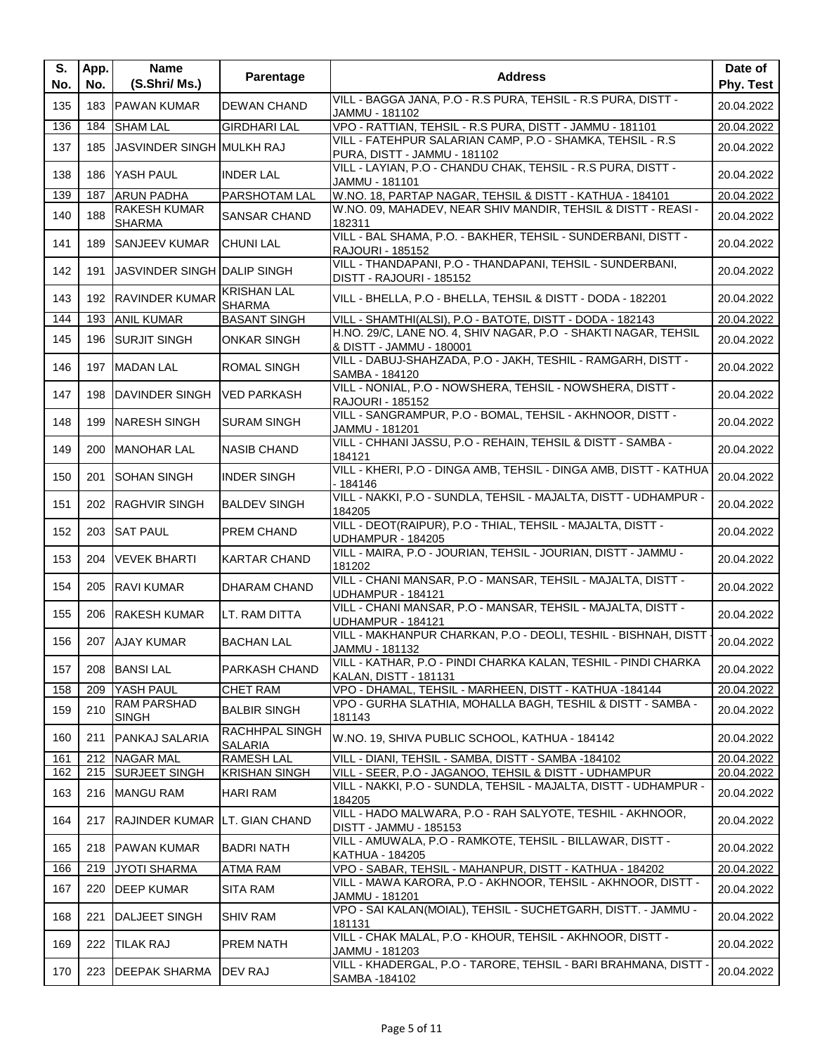| S.<br>No.  | App.<br>No. | Name<br>(S.Shri/ Ms.)                | Parentage                                 | <b>Address</b>                                                                                               | Date of<br>Phy. Test     |
|------------|-------------|--------------------------------------|-------------------------------------------|--------------------------------------------------------------------------------------------------------------|--------------------------|
| 135        |             | 183 PAWAN KUMAR                      | <b>DEWAN CHAND</b>                        | VILL - BAGGA JANA, P.O - R.S PURA, TEHSIL - R.S PURA, DISTT -<br>JAMMU - 181102                              | 20.04.2022               |
| 136        |             | 184 SHAM LAL                         | <b>GIRDHARI LAL</b>                       | VPO - RATTIAN, TEHSIL - R.S PURA, DISTT - JAMMU - 181101                                                     | 20.04.2022               |
| 137        | 185         | JASVINDER SINGH MULKH RAJ            |                                           | VILL - FATEHPUR SALARIAN CAMP, P.O - SHAMKA, TEHSIL - R.S.<br>PURA, DISTT - JAMMU - 181102                   | 20.04.2022               |
| 138        |             | 186 YASH PAUL                        | <b>INDER LAL</b>                          | VILL - LAYIAN, P.O - CHANDU CHAK, TEHSIL - R.S PURA, DISTT -<br>JAMMU - 181101                               | 20.04.2022               |
| 139        | 187         | <b>ARUN PADHA</b>                    | PARSHOTAM LAL                             | W.NO. 18, PARTAP NAGAR, TEHSIL & DISTT - KATHUA - 184101                                                     | 20.04.2022               |
| 140        | 188         | <b>RAKESH KUMAR</b><br><b>SHARMA</b> | <b>SANSAR CHAND</b>                       | W.NO. 09, MAHADEV, NEAR SHIV MANDIR, TEHSIL & DISTT - REASI -<br>182311                                      | 20.04.2022               |
| 141        |             | 189 SANJEEV KUMAR                    | <b>CHUNI LAL</b>                          | VILL - BAL SHAMA, P.O. - BAKHER, TEHSIL - SUNDERBANI, DISTT -<br>RAJOURI - 185152                            | 20.04.2022               |
| 142        |             | 191 JASVINDER SINGH DALIP SINGH      |                                           | VILL - THANDAPANI, P.O - THANDAPANI, TEHSIL - SUNDERBANI,<br>DISTT - RAJOURI - 185152                        | 20.04.2022               |
| 143        |             | 192 RAVINDER KUMAR                   | <b>KRISHAN LAL</b><br><b>SHARMA</b>       | VILL - BHELLA, P.O - BHELLA, TEHSIL & DISTT - DODA - 182201                                                  | 20.04.2022               |
| 144        |             | 193 ANIL KUMAR                       | <b>BASANT SINGH</b>                       | VILL - SHAMTHI(ALSI), P.O - BATOTE, DISTT - DODA - 182143                                                    | 20.04.2022               |
| 145        |             | 196 SURJIT SINGH                     | <b>ONKAR SINGH</b>                        | H.NO. 29/C, LANE NO. 4, SHIV NAGAR, P.O - SHAKTI NAGAR, TEHSIL<br>& DISTT - JAMMU - 180001                   | 20.04.2022               |
| 146        |             | 197 MADAN LAL                        | <b>ROMAL SINGH</b>                        | VILL - DABUJ-SHAHZADA, P.O - JAKH, TESHIL - RAMGARH, DISTT -<br>SAMBA - 184120                               | 20.04.2022               |
| 147        | 198         | DAVINDER SINGH                       | VED PARKASH                               | VILL - NONIAL, P.O - NOWSHERA, TEHSIL - NOWSHERA, DISTT -<br><b>RAJOURI - 185152</b>                         | 20.04.2022               |
| 148        | 199         | <b>NARESH SINGH</b>                  | <b>SURAM SINGH</b>                        | VILL - SANGRAMPUR, P.O - BOMAL, TEHSIL - AKHNOOR, DISTT -<br>JAMMU - 181201                                  | 20.04.2022               |
| 149        | 200         | <b>MANOHAR LAL</b>                   | <b>NASIB CHAND</b>                        | VILL - CHHANI JASSU, P.O - REHAIN, TEHSIL & DISTT - SAMBA -<br>184121                                        | 20.04.2022               |
| 150        | 201         | <b>SOHAN SINGH</b>                   | <b>INDER SINGH</b>                        | VILL - KHERI, P.O - DINGA AMB, TEHSIL - DINGA AMB, DISTT - KATHUA<br>$-184146$                               | 20.04.2022               |
| 151        |             | 202 RAGHVIR SINGH                    | <b>BALDEV SINGH</b>                       | VILL - NAKKI, P.O - SUNDLA, TEHSIL - MAJALTA, DISTT - UDHAMPUR -<br>184205                                   | 20.04.2022               |
| 152        |             | 203 SAT PAUL                         | <b>PREM CHAND</b>                         | VILL - DEOT(RAIPUR), P.O - THIAL, TEHSIL - MAJALTA, DISTT -<br>UDHAMPUR - 184205                             | 20.04.2022               |
| 153        |             | 204   VEVEK BHARTI                   | <b>KARTAR CHAND</b>                       | VILL - MAIRA, P.O - JOURIAN, TEHSIL - JOURIAN, DISTT - JAMMU -<br>181202                                     | 20.04.2022               |
| 154        |             | 205 RAVI KUMAR                       | <b>DHARAM CHAND</b>                       | VILL - CHANI MANSAR, P.O - MANSAR, TEHSIL - MAJALTA, DISTT -<br><b>UDHAMPUR - 184121</b>                     | 20.04.2022               |
| 155        |             | 206 RAKESH KUMAR                     | LT. RAM DITTA                             | VILL - CHANI MANSAR, P.O - MANSAR, TEHSIL - MAJALTA, DISTT -<br><b>UDHAMPUR - 184121</b>                     | 20.04.2022               |
| 156        |             | 207 AJAY KUMAR                       | <b>BACHAN LAL</b>                         | VILL - MAKHANPUR CHARKAN, P.O - DEOLI, TESHIL - BISHNAH, DISTT<br>JAMMU - 181132                             | 20.04.2022               |
| 157        |             | 208 BANSI LAL                        | <b>PARKASH CHAND</b>                      | VILL - KATHAR, P.O - PINDI CHARKA KALAN, TESHIL - PINDI CHARKA<br>KALAN, DISTT - 181131                      | 20.04.2022               |
| 158        | 209         | YASH PAUL                            | <b>CHET RAM</b>                           | VPO - DHAMAL, TEHSIL - MARHEEN, DISTT - KATHUA -184144                                                       | 20.04.2022               |
| 159        | 210         | <b>RAM PARSHAD</b><br><b>SINGH</b>   | <b>BALBIR SINGH</b>                       | VPO - GURHA SLATHIA, MOHALLA BAGH, TESHIL & DISTT - SAMBA -<br>181143                                        | 20.04.2022               |
| 160        | 211         | <b>PANKAJ SALARIA</b>                | RACHHPAL SINGH<br><b>SALARIA</b>          | W.NO. 19, SHIVA PUBLIC SCHOOL, KATHUA - 184142                                                               | 20.04.2022               |
| 161<br>162 |             | 212 NAGAR MAL<br>215 SURJEET SINGH   | <b>RAMESH LAL</b><br><b>KRISHAN SINGH</b> | VILL - DIANI, TEHSIL - SAMBA, DISTT - SAMBA -184102<br>VILL - SEER, P.O - JAGANOO, TEHSIL & DISTT - UDHAMPUR | 20.04.2022<br>20.04.2022 |
| 163        |             | 216 MANGU RAM                        | <b>HARI RAM</b>                           | VILL - NAKKI, P.O - SUNDLA, TEHSIL - MAJALTA, DISTT - UDHAMPUR -<br>184205                                   | 20.04.2022               |
| 164        |             | 217 RAJINDER KUMAR LT. GIAN CHAND    |                                           | VILL - HADO MALWARA, P.O - RAH SALYOTE, TESHIL - AKHNOOR,<br>DISTT - JAMMU - 185153                          | 20.04.2022               |
| 165        |             | 218 PAWAN KUMAR                      | <b>BADRI NATH</b>                         | VILL - AMUWALA, P.O - RAMKOTE, TEHSIL - BILLAWAR, DISTT -<br>KATHUA - 184205                                 | 20.04.2022               |
| 166        | 219         | JYOTI SHARMA                         | <b>ATMA RAM</b>                           | VPO - SABAR, TEHSIL - MAHANPUR, DISTT - KATHUA - 184202                                                      | 20.04.2022               |
| 167        | 220         | <b>DEEP KUMAR</b>                    | SITA RAM                                  | VILL - MAWA KARORA, P.O - AKHNOOR, TEHSIL - AKHNOOR, DISTT -<br>JAMMU - 181201                               | 20.04.2022               |
| 168        | 221         | <b>DALJEET SINGH</b>                 | <b>SHIV RAM</b>                           | VPO - SAI KALAN(MOIAL), TEHSIL - SUCHETGARH, DISTT. - JAMMU -<br>181131                                      | 20.04.2022               |
| 169        | 222         | <b>TILAK RAJ</b>                     | <b>PREM NATH</b>                          | VILL - CHAK MALAL, P.O - KHOUR, TEHSIL - AKHNOOR, DISTT -<br>JAMMU - 181203                                  | 20.04.2022               |
| 170        | 223         | <b>DEEPAK SHARMA</b>                 | <b>DEV RAJ</b>                            | VILL - KHADERGAL, P.O - TARORE, TEHSIL - BARI BRAHMANA, DISTT -<br>SAMBA -184102                             | 20.04.2022               |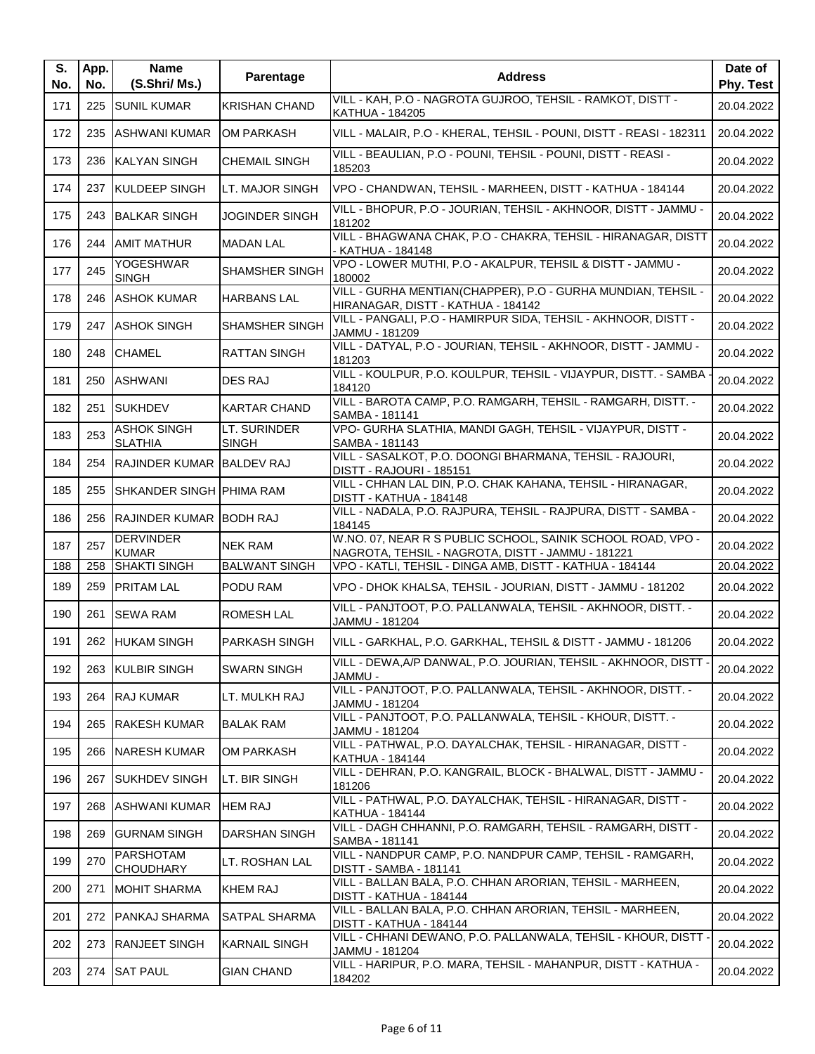| S.<br>No. | App.<br>No. | <b>Name</b><br>(S.Shri/Ms.)          | Parentage                    | <b>Address</b>                                                                                                   | Date of<br>Phy. Test |
|-----------|-------------|--------------------------------------|------------------------------|------------------------------------------------------------------------------------------------------------------|----------------------|
| 171       | 225         | <b>ISUNIL KUMAR</b>                  | <b>KRISHAN CHAND</b>         | VILL - KAH, P.O - NAGROTA GUJROO, TEHSIL - RAMKOT, DISTT -<br><b>KATHUA - 184205</b>                             | 20.04.2022           |
| 172       |             | 235 ASHWANI KUMAR                    | <b>OM PARKASH</b>            | VILL - MALAIR, P.O - KHERAL, TEHSIL - POUNI, DISTT - REASI - 182311                                              | 20.04.2022           |
| 173       |             | 236 KALYAN SINGH                     | <b>CHEMAIL SINGH</b>         | VILL - BEAULIAN, P.O - POUNI, TEHSIL - POUNI, DISTT - REASI -<br>185203                                          | 20.04.2022           |
| 174       |             | 237 KULDEEP SINGH                    | LT. MAJOR SINGH              | VPO - CHANDWAN, TEHSIL - MARHEEN, DISTT - KATHUA - 184144                                                        | 20.04.2022           |
| 175       |             | 243 BALKAR SINGH                     | <b>JOGINDER SINGH</b>        | VILL - BHOPUR, P.O - JOURIAN, TEHSIL - AKHNOOR, DISTT - JAMMU -<br>181202                                        | 20.04.2022           |
| 176       |             | 244 AMIT MATHUR                      | <b>MADAN LAL</b>             | VILL - BHAGWANA CHAK, P.O - CHAKRA, TEHSIL - HIRANAGAR, DISTT<br>- KATHUA - 184148                               | 20.04.2022           |
| 177       | 245         | YOGESHWAR<br><b>SINGH</b>            | <b>SHAMSHER SINGH</b>        | VPO - LOWER MUTHI, P.O - AKALPUR, TEHSIL & DISTT - JAMMU -<br>180002                                             | 20.04.2022           |
| 178       | 246         | <b>JASHOK KUMAR</b>                  | <b>HARBANS LAL</b>           | VILL - GURHA MENTIAN(CHAPPER), P.O - GURHA MUNDIAN, TEHSIL -<br>HIRANAGAR, DISTT - KATHUA - 184142               | 20.04.2022           |
| 179       |             | 247 ASHOK SINGH                      | <b>SHAMSHER SINGH</b>        | VILL - PANGALI, P.O - HAMIRPUR SIDA, TEHSIL - AKHNOOR, DISTT -<br>JAMMU - 181209                                 | 20.04.2022           |
| 180       |             | 248 CHAMEL                           | <b>RATTAN SINGH</b>          | VILL - DATYAL, P.O - JOURIAN, TEHSIL - AKHNOOR, DISTT - JAMMU -<br>181203                                        | 20.04.2022           |
| 181       |             | 250 ASHWANI                          | <b>DES RAJ</b>               | VILL - KOULPUR, P.O. KOULPUR, TEHSIL - VIJAYPUR, DISTT. - SAMBA<br>184120                                        | 20.04.2022           |
| 182       | 251         | <b>SUKHDEV</b>                       | <b>KARTAR CHAND</b>          | VILL - BAROTA CAMP, P.O. RAMGARH, TEHSIL - RAMGARH, DISTT. -<br>SAMBA - 181141                                   | 20.04.2022           |
| 183       | 253         | <b>ASHOK SINGH</b><br><b>SLATHIA</b> | LT. SURINDER<br><b>SINGH</b> | VPO- GURHA SLATHIA, MANDI GAGH, TEHSIL - VIJAYPUR, DISTT -<br>SAMBA - 181143                                     | 20.04.2022           |
| 184       |             | 254 RAJINDER KUMAR BALDEV RAJ        |                              | VILL - SASALKOT, P.O. DOONGI BHARMANA, TEHSIL - RAJOURI,<br>DISTT - RAJOURI - 185151                             | 20.04.2022           |
| 185       | 255         | SHKANDER SINGH PHIMA RAM             |                              | VILL - CHHAN LAL DIN, P.O. CHAK KAHANA, TEHSIL - HIRANAGAR,<br>DISTT - KATHUA - 184148                           | 20.04.2022           |
| 186       |             | 256 RAJINDER KUMAR BODH RAJ          |                              | VILL - NADALA, P.O. RAJPURA, TEHSIL - RAJPURA, DISTT - SAMBA -<br>184145                                         | 20.04.2022           |
| 187       | 257         | <b>DERVINDER</b><br><b>KUMAR</b>     | <b>NEK RAM</b>               | W.NO. 07, NEAR R S PUBLIC SCHOOL, SAINIK SCHOOL ROAD, VPO -<br>NAGROTA, TEHSIL - NAGROTA, DISTT - JAMMU - 181221 | 20.04.2022           |
| 188       |             | 258 SHAKTI SINGH                     | <b>BALWANT SINGH</b>         | VPO - KATLI, TEHSIL - DINGA AMB, DISTT - KATHUA - 184144                                                         | 20.04.2022           |
| 189       | 259         | <b>PRITAM LAL</b>                    | PODU RAM                     | VPO - DHOK KHALSA, TEHSIL - JOURIAN, DISTT - JAMMU - 181202                                                      | 20.04.2022           |
| 190       | 261         | <b>SEWA RAM</b>                      | <b>ROMESH LAL</b>            | VILL - PANJTOOT, P.O. PALLANWALA, TEHSIL - AKHNOOR, DISTT. -<br>JAMMU - 181204                                   | 20.04.2022           |
| 191       |             | 262 HUKAM SINGH                      | <b>PARKASH SINGH</b>         | VILL - GARKHAL, P.O. GARKHAL, TEHSIL & DISTT - JAMMU - 181206                                                    | 20.04.2022           |
| 192       |             | 263 KULBIR SINGH                     | <b>SWARN SINGH</b>           | VILL - DEWA, A/P DANWAL, P.O. JOURIAN, TEHSIL - AKHNOOR, DISTT -<br>- JAMMU                                      | 20.04.2022           |
| 193       |             | 264 RAJ KUMAR                        | LT. MULKH RAJ                | VILL - PANJTOOT, P.O. PALLANWALA, TEHSIL - AKHNOOR, DISTT. -<br>JAMMU - 181204                                   | 20.04.2022           |
| 194       |             | 265 RAKESH KUMAR                     | <b>BALAK RAM</b>             | VILL - PANJTOOT, P.O. PALLANWALA, TEHSIL - KHOUR, DISTT. -<br>JAMMU - 181204                                     | 20.04.2022           |
| 195       |             | 266 NARESH KUMAR                     | OM PARKASH                   | VILL - PATHWAL, P.O. DAYALCHAK, TEHSIL - HIRANAGAR, DISTT -<br>KATHUA - 184144                                   | 20.04.2022           |
| 196       | 267         | <b>SUKHDEV SINGH</b>                 | LT. BIR SINGH                | VILL - DEHRAN, P.O. KANGRAIL, BLOCK - BHALWAL, DISTT - JAMMU -<br>181206                                         | 20.04.2022           |
| 197       |             | 268 ASHWANI KUMAR                    | <b>HEM RAJ</b>               | VILL - PATHWAL, P.O. DAYALCHAK, TEHSIL - HIRANAGAR, DISTT -<br><b>KATHUA - 184144</b>                            | 20.04.2022           |
| 198       |             | 269 GURNAM SINGH                     | DARSHAN SINGH                | VILL - DAGH CHHANNI, P.O. RAMGARH, TEHSIL - RAMGARH, DISTT -<br>SAMBA - 181141                                   | 20.04.2022           |
| 199       | 270         | <b>PARSHOTAM</b><br><b>CHOUDHARY</b> | LT. ROSHAN LAL               | VILL - NANDPUR CAMP, P.O. NANDPUR CAMP, TEHSIL - RAMGARH,<br><b>DISTT - SAMBA - 181141</b>                       | 20.04.2022           |
| 200       | 271         | <b>MOHIT SHARMA</b>                  | <b>KHEM RAJ</b>              | VILL - BALLAN BALA, P.O. CHHAN ARORIAN, TEHSIL - MARHEEN,<br>DISTT - KATHUA - 184144                             | 20.04.2022           |
| 201       |             | 272 PANKAJ SHARMA                    | <b>SATPAL SHARMA</b>         | VILL - BALLAN BALA, P.O. CHHAN ARORIAN, TEHSIL - MARHEEN,<br>DISTT - KATHUA - 184144                             | 20.04.2022           |
| 202       | 273         | <b>RANJEET SINGH</b>                 | <b>KARNAIL SINGH</b>         | VILL - CHHANI DEWANO, P.O. PALLANWALA, TEHSIL - KHOUR, DISTT<br>JAMMU - 181204                                   | 20.04.2022           |
| 203       |             | 274 SAT PAUL                         | <b>GIAN CHAND</b>            | VILL - HARIPUR, P.O. MARA, TEHSIL - MAHANPUR, DISTT - KATHUA -<br>184202                                         | 20.04.2022           |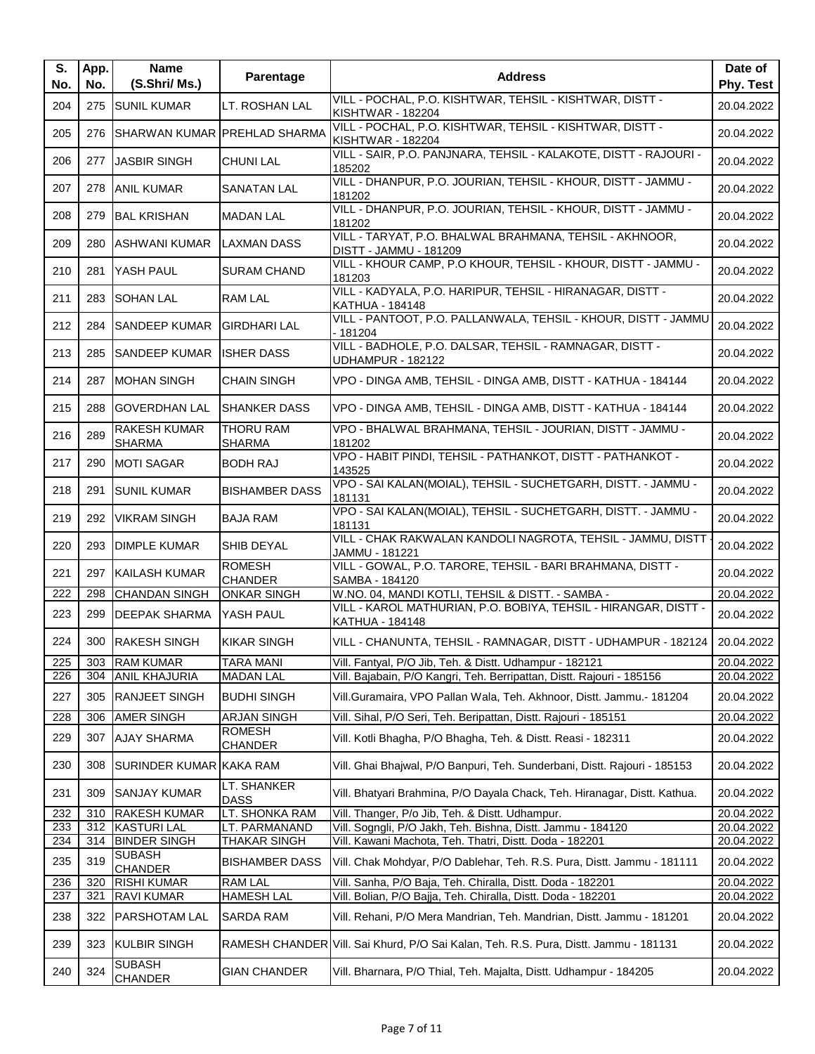| S.<br>No. | App.<br>No. | <b>Name</b><br>(S.Shri/ Ms.)         | <b>Parentage</b>                  | <b>Address</b>                                                                            | Date of<br>Phy. Test |
|-----------|-------------|--------------------------------------|-----------------------------------|-------------------------------------------------------------------------------------------|----------------------|
| 204       |             | 275 SUNIL KUMAR                      | LT. ROSHAN LAL                    | VILL - POCHAL, P.O. KISHTWAR, TEHSIL - KISHTWAR, DISTT -<br><b>KISHTWAR - 182204</b>      | 20.04.2022           |
| 205       | 276         |                                      | SHARWAN KUMAR PREHLAD SHARMA      | VILL - POCHAL, P.O. KISHTWAR, TEHSIL - KISHTWAR, DISTT -<br><b>KISHTWAR - 182204</b>      | 20.04.2022           |
| 206       |             | 277 JASBIR SINGH                     | <b>CHUNI LAL</b>                  | VILL - SAIR, P.O. PANJNARA, TEHSIL - KALAKOTE, DISTT - RAJOURI -<br>185202                | 20.04.2022           |
| 207       |             | 278 ANIL KUMAR                       | <b>SANATAN LAL</b>                | VILL - DHANPUR, P.O. JOURIAN, TEHSIL - KHOUR, DISTT - JAMMU -<br>181202                   | 20.04.2022           |
| 208       | 279         | <b>BAL KRISHAN</b>                   | <b>MADAN LAL</b>                  | VILL - DHANPUR, P.O. JOURIAN, TEHSIL - KHOUR, DISTT - JAMMU -<br>181202                   | 20.04.2022           |
| 209       | 280         | <b>ASHWANI KUMAR</b>                 | <b>LAXMAN DASS</b>                | VILL - TARYAT, P.O. BHALWAL BRAHMANA, TEHSIL - AKHNOOR,<br>DISTT - JAMMU - 181209         | 20.04.2022           |
| 210       |             | 281 YASH PAUL                        | <b>SURAM CHAND</b>                | VILL - KHOUR CAMP, P.O KHOUR, TEHSIL - KHOUR, DISTT - JAMMU -<br>181203                   | 20.04.2022           |
| 211       | 283         | <b>SOHAN LAL</b>                     | RAM LAL                           | VILL - KADYALA, P.O. HARIPUR, TEHSIL - HIRANAGAR, DISTT -<br><b>KATHUA - 184148</b>       | 20.04.2022           |
| 212       |             | 284 SANDEEP KUMAR                    | <b>GIRDHARI LAL</b>               | VILL - PANTOOT, P.O. PALLANWALA, TEHSIL - KHOUR, DISTT - JAMMU<br>$-181204$               | 20.04.2022           |
| 213       |             | 285 SANDEEP KUMAR                    | <b>ISHER DASS</b>                 | VILL - BADHOLE, P.O. DALSAR, TEHSIL - RAMNAGAR, DISTT -<br><b>UDHAMPUR - 182122</b>       | 20.04.2022           |
| 214       | 287         | <b>MOHAN SINGH</b>                   | <b>CHAIN SINGH</b>                | VPO - DINGA AMB, TEHSIL - DINGA AMB, DISTT - KATHUA - 184144                              | 20.04.2022           |
| 215       | 288         | <b>GOVERDHAN LAL</b>                 | ISHANKER DASS                     | VPO - DINGA AMB, TEHSIL - DINGA AMB, DISTT - KATHUA - 184144                              | 20.04.2022           |
| 216       | 289         | <b>RAKESH KUMAR</b><br><b>SHARMA</b> | <b>THORU RAM</b><br><b>SHARMA</b> | VPO - BHALWAL BRAHMANA, TEHSIL - JOURIAN, DISTT - JAMMU -<br>181202                       | 20.04.2022           |
| 217       |             | 290 MOTI SAGAR                       | <b>BODH RAJ</b>                   | VPO - HABIT PINDI, TEHSIL - PATHANKOT, DISTT - PATHANKOT -<br>143525                      | 20.04.2022           |
| 218       | 291         | <b>SUNIL KUMAR</b>                   | <b>BISHAMBER DASS</b>             | VPO - SAI KALAN(MOIAL), TEHSIL - SUCHETGARH, DISTT. - JAMMU -<br>181131                   | 20.04.2022           |
| 219       | 292         | <b>VIKRAM SINGH</b>                  | <b>BAJA RAM</b>                   | VPO - SAI KALAN(MOIAL), TEHSIL - SUCHETGARH, DISTT. - JAMMU -<br>181131                   | 20.04.2022           |
| 220       |             | 293 DIMPLE KUMAR                     | SHIB DEYAL                        | VILL - CHAK RAKWALAN KANDOLI NAGROTA, TEHSIL - JAMMU, DISTT<br>JAMMU - 181221             | 20.04.2022           |
| 221       |             | 297 KAILASH KUMAR                    | <b>ROMESH</b><br><b>CHANDER</b>   | VILL - GOWAL, P.O. TARORE, TEHSIL - BARI BRAHMANA, DISTT -<br>SAMBA - 184120              | 20.04.2022           |
| 222       | 298         | <b>ICHANDAN SINGH</b>                | <b>ONKAR SINGH</b>                | W.NO. 04, MANDI KOTLI, TEHSIL & DISTT. - SAMBA -                                          | 20.04.2022           |
| 223       | 299         | <b>DEEPAK SHARMA</b>                 | YASH PAUL                         | VILL - KAROL MATHURIAN, P.O. BOBIYA, TEHSIL - HIRANGAR, DISTT -<br><b>KATHUA - 184148</b> | 20.04.2022           |
| 224       |             | 300 RAKESH SINGH                     | <b>KIKAR SINGH</b>                | VILL - CHANUNTA, TEHSIL - RAMNAGAR, DISTT - UDHAMPUR - 182124                             | 20.04.2022           |
| 225       |             | 303 RAM KUMAR                        | <b>TARA MANI</b>                  | Vill. Fantyal, P/O Jib, Teh. & Distt. Udhampur - 182121                                   | 20.04.2022           |
| 226       | 304         | <b>ANIL KHAJURIA</b>                 | <b>MADAN LAL</b>                  | Vill. Bajabain, P/O Kangri, Teh. Berripattan, Distt. Rajouri - 185156                     | 20.04.2022           |
| 227       |             | 305 RANJEET SINGH                    | <b>BUDHI SINGH</b>                | Vill.Guramaira, VPO Pallan Wala, Teh. Akhnoor, Distt. Jammu.- 181204                      | 20.04.2022           |
| 228       | 306         | <b>AMER SINGH</b>                    | <b>ARJAN SINGH</b>                | Vill. Sihal, P/O Seri, Teh. Beripattan, Distt. Rajouri - 185151                           | 20.04.2022           |
| 229       | 307         | <b>AJAY SHARMA</b>                   | <b>ROMESH</b><br><b>CHANDER</b>   | Vill. Kotli Bhagha, P/O Bhagha, Teh. & Distt. Reasi - 182311                              | 20.04.2022           |
| 230       | 308         | SURINDER KUMAR KAKA RAM              |                                   | Vill. Ghai Bhajwal, P/O Banpuri, Teh. Sunderbani, Distt. Rajouri - 185153                 | 20.04.2022           |
| 231       | 309         | <b>SANJAY KUMAR</b>                  | LT. SHANKER<br><b>DASS</b>        | Vill. Bhatyari Brahmina, P/O Dayala Chack, Teh. Hiranagar, Distt. Kathua.                 | 20.04.2022           |
| 232       | 310         | <b>RAKESH KUMAR</b>                  | LT. SHONKA RAM                    | Vill. Thanger, P/o Jib, Teh. & Distt. Udhampur.                                           | 20.04.2022           |
| 233       |             | 312 KASTURI LAL                      | LT. PARMANAND                     | Vill. Sogngli, P/O Jakh, Teh. Bishna, Distt. Jammu - 184120                               | 20.04.2022           |
| 234       |             | 314 BINDER SINGH<br><b>SUBASH</b>    | <b>THAKAR SINGH</b>               | Vill. Kawani Machota, Teh. Thatri, Distt. Doda - 182201                                   | 20.04.2022           |
| 235       | 319         | <b>CHANDER</b>                       | <b>BISHAMBER DASS</b>             | Vill. Chak Mohdyar, P/O Dablehar, Teh. R.S. Pura, Distt. Jammu - 181111                   | 20.04.2022           |
| 236       | 320         | <b>RISHI KUMAR</b>                   | <b>RAM LAL</b>                    | Vill. Sanha, P/O Baja, Teh. Chiralla, Distt. Doda - 182201                                | 20.04.2022           |
| 237       | 321         | <b>RAVI KUMAR</b>                    | <b>HAMESH LAL</b>                 | Vill. Bolian, P/O Bajja, Teh. Chiralla, Distt. Doda - 182201                              | 20.04.2022           |
| 238       | 322         | <b>PARSHOTAM LAL</b>                 | <b>SARDA RAM</b>                  | Vill. Rehani, P/O Mera Mandrian, Teh. Mandrian, Distt. Jammu - 181201                     | 20.04.2022           |
| 239       | 323         | <b>KULBIR SINGH</b>                  |                                   | RAMESH CHANDER Vill. Sai Khurd, P/O Sai Kalan, Teh. R.S. Pura, Distt. Jammu - 181131      | 20.04.2022           |
| 240       | 324         | <b>SUBASH</b><br><b>CHANDER</b>      | <b>GIAN CHANDER</b>               | Vill. Bharnara, P/O Thial, Teh. Majalta, Distt. Udhampur - 184205                         | 20.04.2022           |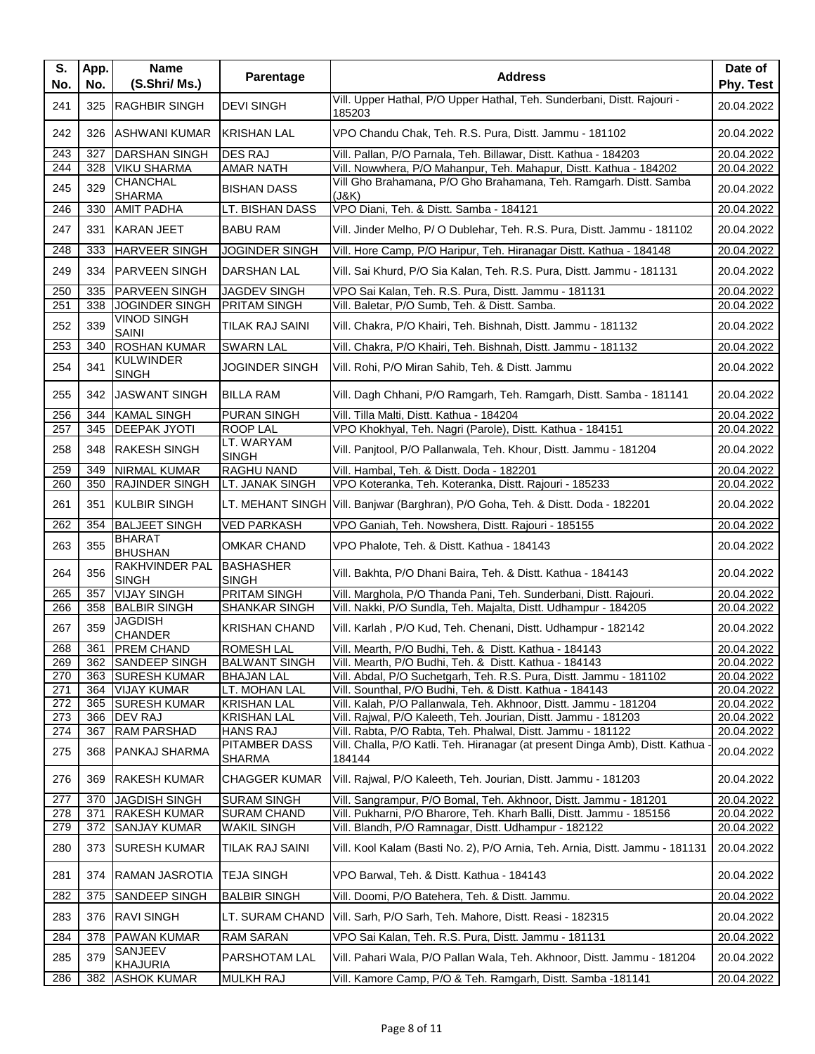| S.<br>No.  | App.<br>No. | <b>Name</b><br>(S.Shri/ Ms.)          | Parentage                                | <b>Address</b>                                                                                                                     | Date of<br>Phy. Test     |
|------------|-------------|---------------------------------------|------------------------------------------|------------------------------------------------------------------------------------------------------------------------------------|--------------------------|
| 241        | 325         | <b>RAGHBIR SINGH</b>                  | <b>DEVI SINGH</b>                        | Vill. Upper Hathal, P/O Upper Hathal, Teh. Sunderbani, Distt. Rajouri -<br>185203                                                  | 20.04.2022               |
| 242        |             | 326 ASHWANI KUMAR                     | <b>KRISHAN LAL</b>                       | VPO Chandu Chak, Teh. R.S. Pura, Distt. Jammu - 181102                                                                             | 20.04.2022               |
| 243        | 327         | <b>DARSHAN SINGH</b>                  | <b>DES RAJ</b>                           | Vill. Pallan, P/O Parnala, Teh. Billawar, Distt. Kathua - 184203                                                                   | 20.04.2022               |
| 244        | 328         | <b>VIKU SHARMA</b>                    | AMAR NATH                                | Vill. Nowwhera, P/O Mahanpur, Teh. Mahapur, Distt. Kathua - 184202                                                                 | 20.04.2022               |
| 245        | 329         | <b>CHANCHAL</b><br><b>SHARMA</b>      | <b>BISHAN DASS</b>                       | Vill Gho Brahamana, P/O Gho Brahamana, Teh. Ramgarh. Distt. Samba<br>(J&K)                                                         | 20.04.2022               |
| 246        | 330         | <b>AMIT PADHA</b>                     | LT. BISHAN DASS                          | VPO Diani, Teh. & Distt. Samba - 184121                                                                                            | 20.04.2022               |
| 247        |             | 331 KARAN JEET                        | <b>BABU RAM</b>                          | Vill. Jinder Melho, P/O Dublehar, Teh. R.S. Pura, Distt. Jammu - 181102                                                            | 20.04.2022               |
| 248        | 333         | <b>HARVEER SINGH</b>                  | <b>JOGINDER SINGH</b>                    | Vill. Hore Camp, P/O Haripur, Teh. Hiranagar Distt. Kathua - 184148                                                                | 20.04.2022               |
| 249        | 334         | <b>PARVEEN SINGH</b>                  | DARSHAN LAL                              | Vill. Sai Khurd, P/O Sia Kalan, Teh. R.S. Pura, Distt. Jammu - 181131                                                              | 20.04.2022               |
| 250        | 335         | <b>PARVEEN SINGH</b>                  | <b>JAGDEV SINGH</b>                      | VPO Sai Kalan, Teh. R.S. Pura, Distt. Jammu - 181131                                                                               | 20.04.2022               |
| 251        |             | 338 JJOGINDER SINGH                   | PRITAM SINGH                             | Vill. Baletar, P/O Sumb, Teh. & Distt. Samba.                                                                                      | 20.04.2022               |
| 252        | 339         | <b>VINOD SINGH</b><br>SAINI           | TILAK RAJ SAINI                          | Vill. Chakra, P/O Khairi, Teh. Bishnah, Distt. Jammu - 181132                                                                      | 20.04.2022               |
| 253        | 340         | <b>ROSHAN KUMAR</b>                   | <b>SWARN LAL</b>                         | Vill. Chakra, P/O Khairi, Teh. Bishnah, Distt. Jammu - 181132                                                                      | 20.04.2022               |
| 254        | 341         | <b>KULWINDER</b><br><b>SINGH</b>      | <b>JOGINDER SINGH</b>                    | Vill. Rohi, P/O Miran Sahib, Teh. & Distt. Jammu                                                                                   | 20.04.2022               |
| 255        | 342         | <b>JASWANT SINGH</b>                  | <b>BILLA RAM</b>                         | Vill. Dagh Chhani, P/O Ramgarh, Teh. Ramgarh, Distt. Samba - 181141                                                                | 20.04.2022               |
| 256        | 344         | <b>KAMAL SINGH</b>                    | <b>PURAN SINGH</b>                       | Vill. Tilla Malti, Distt. Kathua - 184204                                                                                          | 20.04.2022               |
| 257        | 345         | <b>DEEPAK JYOTI</b>                   | <b>ROOP LAL</b>                          | VPO Khokhyal, Teh. Nagri (Parole), Distt. Kathua - 184151                                                                          | 20.04.2022               |
| 258        | 348         | <b>RAKESH SINGH</b>                   | LT. WARYAM<br><b>SINGH</b>               | Vill. Panjtool, P/O Pallanwala, Teh. Khour, Distt. Jammu - 181204                                                                  | 20.04.2022               |
| 259        | 349         | <b>NIRMAL KUMAR</b>                   | <b>RAGHU NAND</b>                        | Vill. Hambal, Teh. & Distt. Doda - 182201                                                                                          | 20.04.2022               |
| 260        | 350         | <b>RAJINDER SINGH</b>                 | LT. JANAK SINGH                          | VPO Koteranka, Teh. Koteranka, Distt. Rajouri - 185233                                                                             | 20.04.2022               |
| 261        | 351         | <b>KULBIR SINGH</b>                   | LT. MEHANT SINGH                         | Vill. Banjwar (Barghran), P/O Goha, Teh. & Distt. Doda - 182201                                                                    | 20.04.2022               |
| 262        | 354         | <b>BALJEET SINGH</b>                  | <b>VED PARKASH</b>                       | VPO Ganiah, Teh. Nowshera, Distt. Rajouri - 185155                                                                                 | 20.04.2022               |
| 263        | 355         | <b>BHARAT</b><br><b>BHUSHAN</b>       | <b>OMKAR CHAND</b>                       | VPO Phalote, Teh. & Distt. Kathua - 184143                                                                                         | 20.04.2022               |
| 264        | 356         | <b>RAKHVINDER PAL</b><br><b>SINGH</b> | <b>BASHASHER</b><br><b>SINGH</b>         | Vill. Bakhta, P/O Dhani Baira, Teh. & Distt. Kathua - 184143                                                                       | 20.04.2022               |
| 265        | 357         | <b>VIJAY SINGH</b>                    | <b>PRITAM SINGH</b>                      | Vill. Marghola, P/O Thanda Pani, Teh. Sunderbani, Distt. Rajouri.                                                                  | 20.04.2022               |
| 266        | 358         | <b>BALBIR SINGH</b>                   | SHANKAR SINGH                            | Vill. Nakki, P/O Sundla, Teh. Majalta, Distt. Udhampur - 184205                                                                    | 20.04.2022               |
| 267        | 359         | <b>JAGDISH</b><br><b>CHANDER</b>      | <b>KRISHAN CHAND</b>                     | Vill. Karlah, P/O Kud, Teh. Chenani, Distt. Udhampur - 182142                                                                      | 20.04.2022               |
| 268        | 361         | <b>PREM CHAND</b>                     | <b>ROMESH LAL</b>                        | Vill. Mearth, P/O Budhi, Teh. & Distt. Kathua - 184143                                                                             | 20.04.2022               |
| 269        | 362         | <b>SANDEEP SINGH</b>                  | <b>BALWANT SINGH</b>                     | Vill. Mearth, P/O Budhi, Teh. & Distt. Kathua - 184143                                                                             | 20.04.2022               |
| 270        | 363         | <b>SURESH KUMAR</b>                   | <b>BHAJAN LAL</b>                        | Vill. Abdal, P/O Suchetgarh, Teh. R.S. Pura, Distt. Jammu - 181102                                                                 | 20.04.2022               |
| 271        |             | 364 VIJAY KUMAR                       | LT. MOHAN LAL                            | Vill. Sounthal, P/O Budhi, Teh. & Distt. Kathua - 184143                                                                           | 20.04.2022               |
| 272<br>273 | 365         | <b>SURESH KUMAR</b><br>366 DEV RAJ    | <b>KRISHAN LAL</b><br><b>KRISHAN LAL</b> | Vill. Kalah, P/O Pallanwala, Teh. Akhnoor, Distt. Jammu - 181204<br>Vill. Rajwal, P/O Kaleeth, Teh. Jourian, Distt. Jammu - 181203 | 20.04.2022<br>20.04.2022 |
| 274        | 367         | <b>RAM PARSHAD</b>                    | <b>HANS RAJ</b>                          | Vill. Rabta, P/O Rabta, Teh. Phalwal, Distt. Jammu - 181122                                                                        | 20.04.2022               |
| 275        | 368         | <b>PANKAJ SHARMA</b>                  | <b>PITAMBER DASS</b><br>SHARMA           | Vill. Challa, P/O Katli. Teh. Hiranagar (at present Dinga Amb), Distt. Kathua<br>184144                                            | 20.04.2022               |
| 276        | 369         | <b>RAKESH KUMAR</b>                   | <b>CHAGGER KUMAR</b>                     | Vill. Rajwal, P/O Kaleeth, Teh. Jourian, Distt. Jammu - 181203                                                                     | 20.04.2022               |
| 277        | 370         | <b>JAGDISH SINGH</b>                  | <b>SURAM SINGH</b>                       | Vill. Sangrampur, P/O Bomal, Teh. Akhnoor, Distt. Jammu - 181201                                                                   | 20.04.2022               |
| 278        | 371         | <b>RAKESH KUMAR</b>                   | <b>SURAM CHAND</b>                       | Vill. Pukharni, P/O Bharore, Teh. Kharh Balli, Distt. Jammu - 185156                                                               | 20.04.2022               |
| 279        | 372         | <b>SANJAY KUMAR</b>                   | <b>WAKIL SINGH</b>                       | Vill. Blandh, P/O Ramnagar, Distt. Udhampur - 182122                                                                               | 20.04.2022               |
| 280        | 373         | <b>SURESH KUMAR</b>                   | TILAK RAJ SAINI                          | Vill. Kool Kalam (Basti No. 2), P/O Arnia, Teh. Arnia, Distt. Jammu - 181131                                                       | 20.04.2022               |
| 281        |             | 374 RAMAN JASROTIA                    | <b>TEJA SINGH</b>                        | VPO Barwal, Teh. & Distt. Kathua - 184143                                                                                          | 20.04.2022               |
| 282        | 375         | SANDEEP SINGH                         | <b>BALBIR SINGH</b>                      | Vill. Doomi, P/O Batehera, Teh. & Distt. Jammu.                                                                                    | 20.04.2022               |
| 283        |             | 376 RAVI SINGH                        | LT. SURAM CHAND                          | Vill. Sarh, P/O Sarh, Teh. Mahore, Distt. Reasi - 182315                                                                           | 20.04.2022               |
| 284        | 378         | <b>PAWAN KUMAR</b>                    | <b>RAM SARAN</b>                         | VPO Sai Kalan, Teh. R.S. Pura, Distt. Jammu - 181131                                                                               | 20.04.2022               |
| 285        | 379         | SANJEEV                               | PARSHOTAM LAL                            | Vill. Pahari Wala, P/O Pallan Wala, Teh. Akhnoor, Distt. Jammu - 181204                                                            | 20.04.2022               |
| 286        | 382         | <b>KHAJURIA</b><br><b>ASHOK KUMAR</b> | <b>MULKH RAJ</b>                         | Vill. Kamore Camp, P/O & Teh. Ramgarh, Distt. Samba -181141                                                                        | 20.04.2022               |
|            |             |                                       |                                          |                                                                                                                                    |                          |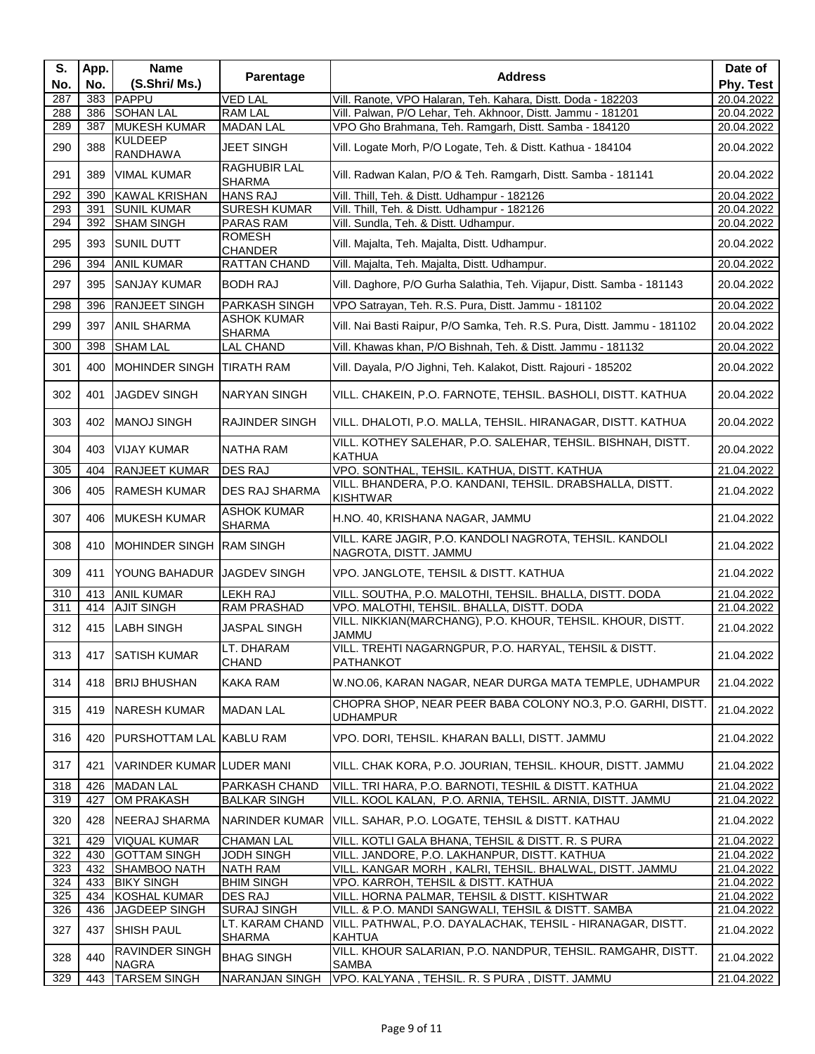| S.<br>No.  | App.<br>No. | <b>Name</b><br>(S.Shri/ Ms.)      | Parentage                                              | <b>Address</b>                                                                                                             | Date of<br>Phy. Test     |
|------------|-------------|-----------------------------------|--------------------------------------------------------|----------------------------------------------------------------------------------------------------------------------------|--------------------------|
| 287        |             | 383 PAPPU                         | <b>VED LAL</b>                                         | Vill. Ranote, VPO Halaran, Teh. Kahara, Distt. Doda - 182203                                                               | 20.04.2022               |
| 288        | 386         | <b>SOHAN LAL</b>                  | <b>RAM LAL</b>                                         | Vill. Palwan, P/O Lehar, Teh. Akhnoor, Distt. Jammu - 181201                                                               | 20.04.2022               |
| 289        | 387         | <b>MUKESH KUMAR</b>               | <b>MADAN LAL</b>                                       | VPO Gho Brahmana, Teh. Ramgarh, Distt. Samba - 184120                                                                      | 20.04.2022               |
| 290        | 388         | <b>KULDEEP</b><br><b>RANDHAWA</b> | <b>JEET SINGH</b>                                      | Vill. Logate Morh, P/O Logate, Teh. & Distt. Kathua - 184104                                                               | 20.04.2022               |
| 291        | 389         | <b>VIMAL KUMAR</b>                | <b>RAGHUBIR LAL</b><br><b>SHARMA</b>                   | Vill. Radwan Kalan, P/O & Teh. Ramgarh, Distt. Samba - 181141                                                              | 20.04.2022               |
| 292        | 390         | <b>KAWAL KRISHAN</b>              | <b>HANS RAJ</b>                                        | Vill. Thill, Teh. & Distt. Udhampur - 182126                                                                               | 20.04.2022               |
| 293        | 391         | <b>SUNIL KUMAR</b>                | <b>SURESH KUMAR</b>                                    | Vill. Thill, Teh. & Distt. Udhampur - 182126                                                                               | 20.04.2022               |
| 294        |             | 392 SHAM SINGH                    | <b>PARAS RAM</b>                                       | Vill. Sundla, Teh. & Distt. Udhampur.                                                                                      | 20.04.2022               |
| 295        |             | 393 SUNIL DUTT                    | <b>ROMESH</b><br><b>CHANDER</b>                        | Vill. Majalta, Teh. Majalta, Distt. Udhampur.                                                                              | 20.04.2022               |
| 296        | 394         | <b>ANIL KUMAR</b>                 | RATTAN CHAND                                           | Vill. Majalta, Teh. Majalta, Distt. Udhampur.                                                                              | 20.04.2022               |
| 297        | 395         | <b>SANJAY KUMAR</b>               | <b>BODH RAJ</b>                                        | Vill. Daghore, P/O Gurha Salathia, Teh. Vijapur, Distt. Samba - 181143                                                     | 20.04.2022               |
| 298        | 396         | <b>RANJEET SINGH</b>              | <b>PARKASH SINGH</b>                                   | VPO Satrayan, Teh. R.S. Pura, Distt. Jammu - 181102                                                                        | 20.04.2022               |
| 299        | 397         | <b>ANIL SHARMA</b>                | <b>ASHOK KUMAR</b><br><b>SHARMA</b>                    | Vill. Nai Basti Raipur, P/O Samka, Teh. R.S. Pura, Distt. Jammu - 181102                                                   | 20.04.2022               |
| 300        | 398         | <b>SHAM LAL</b>                   | <b>LAL CHAND</b>                                       | Vill. Khawas khan, P/O Bishnah, Teh. & Distt. Jammu - 181132                                                               | 20.04.2022               |
| 301        | 400         | MOHINDER SINGH TIRATH RAM         |                                                        | Vill. Dayala, P/O Jighni, Teh. Kalakot, Distt. Rajouri - 185202                                                            | 20.04.2022               |
| 302        | 401         | <b>JAGDEV SINGH</b>               | NARYAN SINGH                                           | VILL. CHAKEIN, P.O. FARNOTE, TEHSIL. BASHOLI, DISTT. KATHUA                                                                | 20.04.2022               |
| 303        | 402         | <b>MANOJ SINGH</b>                | <b>RAJINDER SINGH</b>                                  | VILL. DHALOTI, P.O. MALLA, TEHSIL. HIRANAGAR, DISTT. KATHUA                                                                | 20.04.2022               |
| 304        | 403         | VIJAY KUMAR                       | NATHA RAM                                              | VILL. KOTHEY SALEHAR, P.O. SALEHAR, TEHSIL. BISHNAH, DISTT.<br><b>KATHUA</b>                                               | 20.04.2022               |
| 305        | 404         | <b>RANJEET KUMAR</b>              | <b>DES RAJ</b>                                         | VPO. SONTHAL, TEHSIL. KATHUA, DISTT. KATHUA                                                                                | 21.04.2022               |
| 306        | 405         | <b>RAMESH KUMAR</b>               | <b>DES RAJ SHARMA</b>                                  | VILL. BHANDERA, P.O. KANDANI, TEHSIL. DRABSHALLA, DISTT.<br><b>KISHTWAR</b>                                                | 21.04.2022               |
| 307        | 406         | <b>MUKESH KUMAR</b>               | <b>ASHOK KUMAR</b><br><b>SHARMA</b>                    | H.NO. 40, KRISHANA NAGAR, JAMMU                                                                                            | 21.04.2022               |
| 308        | 410         | MOHINDER SINGH RAM SINGH          |                                                        | VILL. KARE JAGIR, P.O. KANDOLI NAGROTA, TEHSIL. KANDOLI<br>NAGROTA, DISTT. JAMMU                                           | 21.04.2022               |
| 309        | 411         | YOUNG BAHADUR JJAGDEV SINGH       |                                                        | VPO. JANGLOTE, TEHSIL & DISTT. KATHUA                                                                                      | 21.04.2022               |
| 310        | 413         | <b>ANIL KUMAR</b>                 | LEKH RAJ                                               | VILL. SOUTHA, P.O. MALOTHI, TEHSIL. BHALLA, DISTT. DODA                                                                    | 21.04.2022               |
| 311        | 414         | <b>AJIT SINGH</b>                 | RAM PRASHAD                                            | VPO. MALOTHI, TEHSIL. BHALLA, DISTT. DODA                                                                                  | 21.04.2022               |
| 312        | 415         | <b>LABH SINGH</b>                 | <b>JASPAL SINGH</b>                                    | VILL. NIKKIAN(MARCHANG), P.O. KHOUR, TEHSIL. KHOUR, DISTT.<br><b>JAMMU</b>                                                 | 21.04.2022               |
| 313        | 417         | <b>SATISH KUMAR</b>               | LT. DHARAM<br><b>CHAND</b>                             | VILL. TREHTI NAGARNGPUR, P.O. HARYAL, TEHSIL & DISTT.<br><b>PATHANKOT</b>                                                  | 21.04.2022               |
| 314        |             | 418   BRIJ BHUSHAN                | <b>KAKA RAM</b>                                        | W.NO.06, KARAN NAGAR, NEAR DURGA MATA TEMPLE, UDHAMPUR                                                                     | 21.04.2022               |
| 315        |             | 419 NARESH KUMAR                  | <b>MADAN LAL</b>                                       | CHOPRA SHOP, NEAR PEER BABA COLONY NO.3, P.O. GARHI, DISTT.<br><b>UDHAMPUR</b>                                             | 21.04.2022               |
| 316        | 420         | <b>PURSHOTTAM LAL KABLU RAM</b>   |                                                        | VPO. DORI, TEHSIL. KHARAN BALLI, DISTT. JAMMU                                                                              | 21.04.2022               |
| 317        | 421         | VARINDER KUMAR LUDER MANI         |                                                        | VILL. CHAK KORA, P.O. JOURIAN, TEHSIL. KHOUR, DISTT. JAMMU                                                                 | 21.04.2022               |
| 318<br>319 | 426<br>427  | <b>MADAN LAL</b><br>OM PRAKASH    | PARKASH CHAND<br><b>BALKAR SINGH</b>                   | VILL. TRI HARA, P.O. BARNOTI, TESHIL & DISTT. KATHUA<br>VILL. KOOL KALAN, P.O. ARNIA, TEHSIL. ARNIA, DISTT. JAMMU          | 21.04.2022<br>21.04.2022 |
| 320        | 428         | NEERAJ SHARMA                     | NARINDER KUMAR                                         | VILL. SAHAR, P.O. LOGATE, TEHSIL & DISTT. KATHAU                                                                           | 21.04.2022               |
| 321        | 429         | VIQUAL KUMAR                      | <b>CHAMAN LAL</b>                                      | VILL. KOTLI GALA BHANA, TEHSIL & DISTT. R. S PURA                                                                          | 21.04.2022               |
| 322        | 430         | <b>GOTTAM SINGH</b>               | <b>JODH SINGH</b>                                      | VILL. JANDORE, P.O. LAKHANPUR, DISTT. KATHUA                                                                               | 21.04.2022               |
| 323        | 432         | SHAMBOO NATH                      | <b>NATH RAM</b>                                        | VILL. KANGAR MORH, KALRI, TEHSIL. BHALWAL, DISTT. JAMMU                                                                    | 21.04.2022               |
| 324        | 433         | <b>BIKY SINGH</b>                 | <b>BHIM SINGH</b>                                      | VPO. KARROH, TEHSIL & DISTT. KATHUA                                                                                        | 21.04.2022               |
| 325        | 434         | <b>KOSHAL KUMAR</b>               | <b>DES RAJ</b>                                         | VILL. HORNA PALMAR, TEHSIL & DISTT. KISHTWAR                                                                               | 21.04.2022               |
| 326<br>327 | 436<br>437  | JAGDEEP SINGH<br>SHISH PAUL       | <b>SURAJ SINGH</b><br>LT. KARAM CHAND<br><b>SHARMA</b> | VILL. & P.O. MANDI SANGWALI, TEHSIL & DISTT. SAMBA<br>VILL. PATHWAL, P.O. DAYALACHAK, TEHSIL - HIRANAGAR, DISTT.<br>KAHTUA | 21.04.2022<br>21.04.2022 |
| 328        | 440         | RAVINDER SINGH<br><b>NAGRA</b>    | <b>BHAG SINGH</b>                                      | VILL. KHOUR SALARIAN, P.O. NANDPUR, TEHSIL. RAMGAHR, DISTT.<br><b>SAMBA</b>                                                | 21.04.2022               |
| 329        | 443         | <b>TARSEM SINGH</b>               | <b>NARANJAN SINGH</b>                                  | VPO. KALYANA, TEHSIL. R. S PURA, DISTT. JAMMU                                                                              | 21.04.2022               |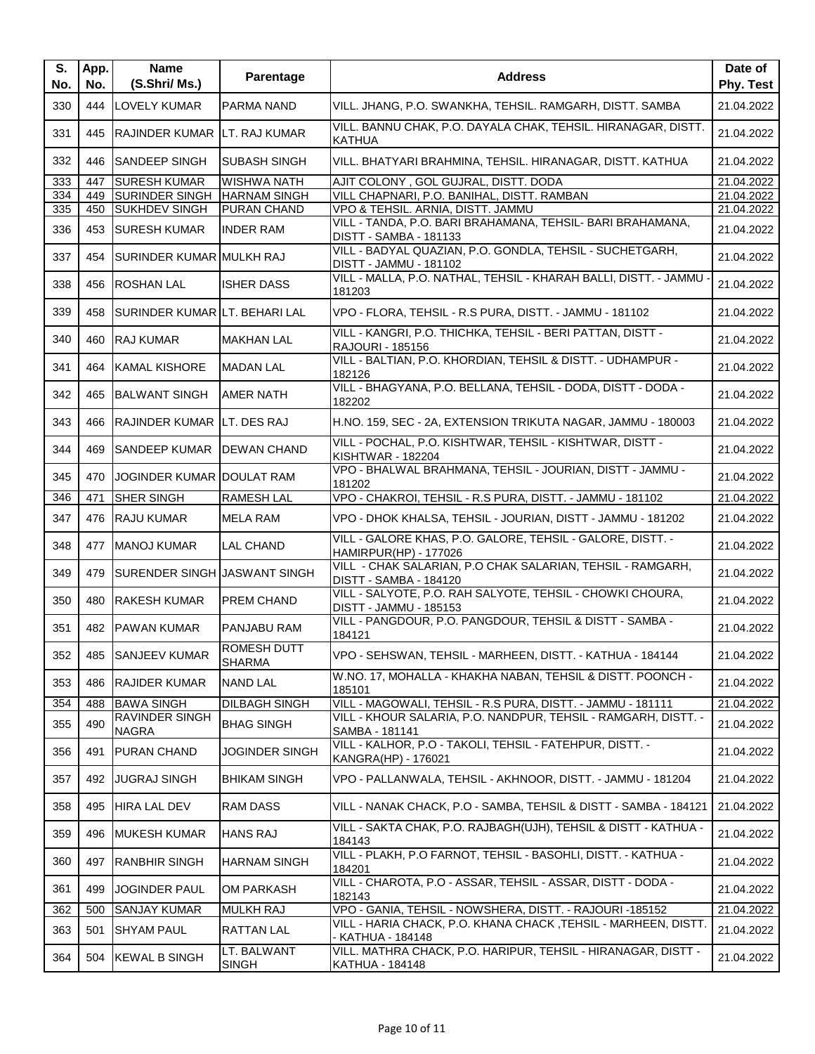| S.<br>No. | App.<br>No. | <b>Name</b><br>(S.Shri/Ms.)       | Parentage                           | <b>Address</b>                                                                              | Date of<br>Phy. Test |
|-----------|-------------|-----------------------------------|-------------------------------------|---------------------------------------------------------------------------------------------|----------------------|
| 330       | 444         | LOVELY KUMAR                      | PARMA NAND                          | VILL. JHANG, P.O. SWANKHA, TEHSIL. RAMGARH, DISTT. SAMBA                                    | 21.04.2022           |
| 331       | 445         | RAJINDER KUMAR LT. RAJ KUMAR      |                                     | VILL. BANNU CHAK, P.O. DAYALA CHAK, TEHSIL. HIRANAGAR, DISTT.<br><b>KATHUA</b>              | 21.04.2022           |
| 332       | 446         | <b>SANDEEP SINGH</b>              | ISUBASH SINGH                       | VILL. BHATYARI BRAHMINA, TEHSIL. HIRANAGAR, DISTT. KATHUA                                   | 21.04.2022           |
| 333       | 447         | <b>SURESH KUMAR</b>               | <b>WISHWA NATH</b>                  | AJIT COLONY, GOL GUJRAL, DISTT. DODA                                                        | 21.04.2022           |
| 334       | 449         | <b>SURINDER SINGH</b>             | <b>HARNAM SINGH</b>                 | VILL CHAPNARI, P.O. BANIHAL, DISTT. RAMBAN                                                  | 21.04.2022           |
| 335       | 450         | <b>SUKHDEV SINGH</b>              | PURAN CHAND                         | VPO & TEHSIL. ARNIA, DISTT. JAMMU                                                           | 21.04.2022           |
| 336       | 453         | <b>SURESH KUMAR</b>               | <b>INDER RAM</b>                    | VILL - TANDA, P.O. BARI BRAHAMANA, TEHSIL- BARI BRAHAMANA,<br><b>DISTT - SAMBA - 181133</b> | 21.04.2022           |
| 337       | 454         | SURINDER KUMAR MULKH RAJ          |                                     | VILL - BADYAL QUAZIAN, P.O. GONDLA, TEHSIL - SUCHETGARH,<br>DISTT - JAMMU - 181102          | 21.04.2022           |
| 338       | 456         | <b>ROSHAN LAL</b>                 | <b>ISHER DASS</b>                   | VILL - MALLA, P.O. NATHAL, TEHSIL - KHARAH BALLI, DISTT. - JAMMU -<br>181203                | 21.04.2022           |
| 339       | 458         | SURINDER KUMAR LT. BEHARI LAL     |                                     | VPO - FLORA, TEHSIL - R.S PURA, DISTT. - JAMMU - 181102                                     | 21.04.2022           |
| 340       | 460         | <b>RAJ KUMAR</b>                  | <b>MAKHAN LAL</b>                   | VILL - KANGRI, P.O. THICHKA, TEHSIL - BERI PATTAN, DISTT -<br>RAJOURI - 185156              | 21.04.2022           |
| 341       | 464         | <b>KAMAL KISHORE</b>              | <b>MADAN LAL</b>                    | VILL - BALTIAN, P.O. KHORDIAN, TEHSIL & DISTT. - UDHAMPUR -<br>182126                       | 21.04.2022           |
| 342       | 465         | <b>BALWANT SINGH</b>              | <b>AMER NATH</b>                    | VILL - BHAGYANA, P.O. BELLANA, TEHSIL - DODA, DISTT - DODA -<br>182202                      | 21.04.2022           |
| 343       | 466         | <b>RAJINDER KUMAR LT. DES RAJ</b> |                                     | H.NO. 159, SEC - 2A, EXTENSION TRIKUTA NAGAR, JAMMU - 180003                                | 21.04.2022           |
| 344       | 469         | <b>SANDEEP KUMAR</b>              | <b>IDEWAN CHAND</b>                 | VILL - POCHAL, P.O. KISHTWAR, TEHSIL - KISHTWAR, DISTT -<br><b>KISHTWAR - 182204</b>        | 21.04.2022           |
| 345       | 470         | JOGINDER KUMAR DOULAT RAM         |                                     | VPO - BHALWAL BRAHMANA, TEHSIL - JOURIAN, DISTT - JAMMU -<br>181202                         | 21.04.2022           |
| 346       | 471         | SHER SINGH                        | <b>RAMESH LAL</b>                   | VPO - CHAKROI, TEHSIL - R.S PURA, DISTT. - JAMMU - 181102                                   | 21.04.2022           |
| 347       | 476         | RAJU KUMAR                        | <b>MELA RAM</b>                     | VPO - DHOK KHALSA, TEHSIL - JOURIAN, DISTT - JAMMU - 181202                                 | 21.04.2022           |
| 348       | 477         | <b>MANOJ KUMAR</b>                | <b>LAL CHAND</b>                    | VILL - GALORE KHAS, P.O. GALORE, TEHSIL - GALORE, DISTT. -<br><b>HAMIRPUR(HP) - 177026</b>  | 21.04.2022           |
| 349       | 479         | SURENDER SINGH JASWANT SINGH      |                                     | VILL - CHAK SALARIAN, P.O CHAK SALARIAN, TEHSIL - RAMGARH,<br>DISTT - SAMBA - 184120        | 21.04.2022           |
| 350       | 480         | <b>RAKESH KUMAR</b>               | PREM CHAND                          | VILL - SALYOTE, P.O. RAH SALYOTE, TEHSIL - CHOWKI CHOURA,<br>DISTT - JAMMU - 185153         | 21.04.2022           |
| 351       | 482         | PAWAN KUMAR                       | PANJABU RAM                         | VILL - PANGDOUR, P.O. PANGDOUR, TEHSIL & DISTT - SAMBA -<br>184121                          | 21.04.2022           |
| 352       |             | 485 SANJEEV KUMAR                 | <b>ROMESH DUTT</b><br><b>SHARMA</b> | VPO - SEHSWAN, TEHSIL - MARHEEN, DISTT. - KATHUA - 184144                                   | 21.04.2022           |
| 353       | 486         | <b>RAJIDER KUMAR</b>              | <b>NAND LAL</b>                     | W.NO. 17, MOHALLA - KHAKHA NABAN, TEHSIL & DISTT. POONCH -<br>185101                        | 21.04.2022           |
| 354       | 488         | <b>BAWA SINGH</b>                 | <b>DILBAGH SINGH</b>                | VILL - MAGOWALI, TEHSIL - R.S PURA, DISTT. - JAMMU - 181111                                 | 21.04.2022           |
| 355       | 490         | <b>RAVINDER SINGH</b><br>NAGRA    | <b>BHAG SINGH</b>                   | VILL - KHOUR SALARIA, P.O. NANDPUR, TEHSIL - RAMGARH, DISTT. -<br>SAMBA - 181141            | 21.04.2022           |
| 356       | 491         | <b>PURAN CHAND</b>                | JOGINDER SINGH                      | VILL - KALHOR, P.O - TAKOLI, TEHSIL - FATEHPUR, DISTT. -<br>KANGRA(HP) - 176021             | 21.04.2022           |
| 357       | 492         | <b>JUGRAJ SINGH</b>               | <b>BHIKAM SINGH</b>                 | VPO - PALLANWALA, TEHSIL - AKHNOOR, DISTT. - JAMMU - 181204                                 | 21.04.2022           |
| 358       | 495         | <b>HIRA LAL DEV</b>               | <b>RAM DASS</b>                     | VILL - NANAK CHACK, P.O - SAMBA, TEHSIL & DISTT - SAMBA - 184121                            | 21.04.2022           |
| 359       | 496         | <b>MUKESH KUMAR</b>               | <b>HANS RAJ</b>                     | VILL - SAKTA CHAK, P.O. RAJBAGH(UJH), TEHSIL & DISTT - KATHUA -<br>184143                   | 21.04.2022           |
| 360       | 497         | <b>RANBHIR SINGH</b>              | <b>HARNAM SINGH</b>                 | VILL - PLAKH, P.O FARNOT, TEHSIL - BASOHLI, DISTT. - KATHUA -<br>184201                     | 21.04.2022           |
| 361       | 499         | <b>JOGINDER PAUL</b>              | <b>OM PARKASH</b>                   | VILL - CHAROTA, P.O - ASSAR, TEHSIL - ASSAR, DISTT - DODA -<br>182143                       | 21.04.2022           |
| 362       | 500         | SANJAY KUMAR                      | <b>MULKH RAJ</b>                    | VPO - GANIA, TEHSIL - NOWSHERA, DISTT. - RAJOURI -185152                                    | 21.04.2022           |
| 363       | 501         | <b>SHYAM PAUL</b>                 | <b>RATTAN LAL</b>                   | VILL - HARIA CHACK, P.O. KHANA CHACK, TEHSIL - MARHEEN, DISTT.<br>- KATHUA - 184148         | 21.04.2022           |
| 364       | 504         | <b>KEWAL B SINGH</b>              | LT. BALWANT<br><b>SINGH</b>         | VILL. MATHRA CHACK, P.O. HARIPUR, TEHSIL - HIRANAGAR, DISTT -<br>KATHUA - 184148            | 21.04.2022           |